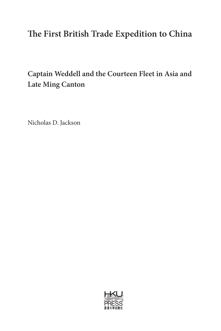# **The First British Trade Expedition to China**

## **Captain Weddell and the Courteen Fleet in Asia and Late Ming Canton**

Nicholas D. Jackson

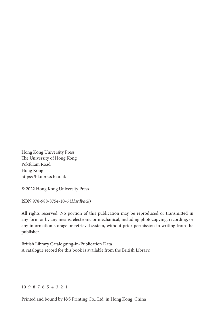Hong Kong University Press The University of Hong Kong Pokfulam Road Hong Kong https://hkupress.hku.hk

© 2022 Hong Kong University Press

ISBN 978-988-8754-10-6 (*Hardback*)

All rights reserved. No portion of this publication may be reproduced or transmitted in any form or by any means, electronic or mechanical, including photocopying, recording, or any information storage or retrieval system, without prior permission in writing from the publisher.

British Library Cataloguing-in-Publication Data A catalogue record for this book is available from the British Library.

#### 10 9 8 7 6 5 4 3 2 1

Printed and bound by J&S Printing Co., Ltd. in Hong Kong, China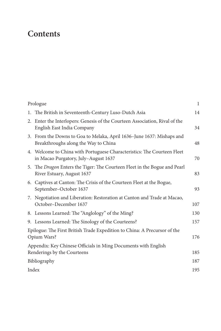## **Contents**

| Prologue |                                                                                                                 | $\mathbf{1}$ |
|----------|-----------------------------------------------------------------------------------------------------------------|--------------|
|          | 1. The British in Seventeenth-Century Luso-Dutch Asia                                                           | 14           |
|          | 2. Enter the Interlopers: Genesis of the Courteen Association, Rival of the<br>English East India Company       | 34           |
|          | 3. From the Downs to Goa to Melaka, April 1636-June 1637: Mishaps and<br>Breakthroughs along the Way to China   | 48           |
|          | 4. Welcome to China with Portuguese Characteristics: The Courteen Fleet<br>in Macao Purgatory, July-August 1637 | 70           |
|          | 5. The Dragon Enters the Tiger: The Courteen Fleet in the Bogue and Pearl<br>River Estuary, August 1637         | 83           |
|          | 6. Captives at Canton: The Crisis of the Courteen Fleet at the Bogue,<br>September-October 1637                 | 93           |
|          | 7. Negotiation and Liberation: Restoration at Canton and Trade at Macao,<br>October-December 1637               | 107          |
|          | 8. Lessons Learned: The "Anglology" of the Ming?                                                                | 130          |
|          | 9. Lessons Learned: The Sinology of the Courteens?                                                              | 157          |
|          | Epilogue: The First British Trade Expedition to China: A Precursor of the<br>Opium Wars?                        |              |
|          | Appendix: Key Chinese Officials in Ming Documents with English<br>Renderings by the Courteens                   | 185          |
|          | Bibliography                                                                                                    |              |
|          | Index                                                                                                           |              |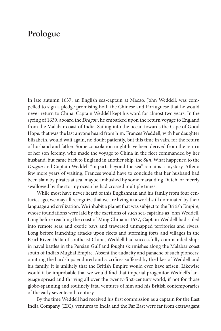#### **Prologue**

In late autumn 1637, an English sea-captain at Macao, John Weddell, was compelled to sign a pledge promising both the Chinese and Portuguese that he would never return to China. Captain Weddell kept his word for almost two years. In the spring of 1639, aboard the *Dragon*, he embarked upon the return voyage to England from the Malabar coast of India. Sailing into the ocean towards the Cape of Good Hope: that was the last anyone heard from him. Frances Weddell, with her daughter Elizabeth, would wait again, no doubt patiently, but this time in vain, for the return of husband and father. Some consolation might have been derived from the return of her son Jeremy, who made the voyage to China in the fleet commanded by her husband, but came back to England in another ship, the *Sun*. What happened to the *Dragon* and Captain Weddell "in parts beyond the sea" remains a mystery. After a few more years of waiting, Frances would have to conclude that her husband had been slain by pirates at sea, maybe ambushed by some marauding Dutch, or merely swallowed by the stormy ocean he had crossed multiple times.

While most have never heard of this Englishman and his family from four centuries ago, we may all recognize that we are living in a world still dominated by their language and civilization. We inhabit a planet that was subject to the British Empire, whose foundations were laid by the exertions of such sea-captains as John Weddell. Long before reaching the coast of Ming China in 1637, Captain Weddell had sailed into remote seas and exotic bays and traversed unmapped territories and rivers. Long before launching attacks upon fleets and storming forts and villages in the Pearl River Delta of southeast China, Weddell had successfully commanded ships in naval battles in the Persian Gulf and fought skirmishes along the Malabar coast south of India's Mughal Empire. Absent the audacity and panache of such pioneers; omitting the hardships endured and sacrifices suffered by the likes of Weddell and his family, it is unlikely that the British Empire would ever have arisen. Likewise would it be improbable that we would find that imperial progenitor Weddell's language spread and thriving all over the twenty-first-century world, if not for those globe-spanning and routinely fatal ventures of him and his British contemporaries of the early seventeenth century.

By the time Weddell had received his first commission as a captain for the East India Company (EIC), ventures to India and the Far East were far from extravagant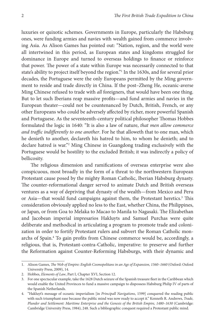luxuries or quixotic schemes. Governments in Europe, particularly the Habsburg ones, were funding armies and navies with wealth gained from commerce involving Asia. As Alison Games has pointed out: "Nation, region, and the world were all intertwined in this period, as European states and kingdoms struggled for dominance in Europe and turned to overseas holdings to finance or reinforce that power. The power of a state within Europe was necessarily connected to that state's ability to project itself beyond the region."1 In the 1630s, and for several prior decades, the Portuguese were the only Europeans permitted by the Ming government to reside and trade directly in China. If the post–Zheng He, oceanic-averse Ming Chinese refused to trade with *all* foreigners, that would have been one thing. But to let such Iberians reap massive profits—and fund armies and navies in the European theater—could not be countenanced by Dutch, British, French, or any other Europeans who could be adversely affected by richer, more powerful Spanish and Portuguese. As the seventeenth-century political philosopher Thomas Hobbes formulated the logic in 1640: "It is also a law of nature, *that men allow commerce and traffic indifferently to one another*. For he that alloweth that to one man, which he denieth to another, declareth his hatred to him, to whom he denieth; and to declare hatred is war."2 Ming Chinese in Guangdong trading exclusively with the Portuguese would be hostility to the excluded British; it was indirectly a policy of bellicosity.

The religious dimension and ramifications of overseas enterprise were also conspicuous, most broadly in the form of a threat to the northwestern European Protestant cause posed by the mighty Roman Catholic, Iberian Habsburg dynasty. The counter-reformational danger served to animate Dutch and British overseas ventures as a way of depriving that dynasty of the wealth—from Mexico and Peru or Asia—that would fund campaigns against them, the Protestant heretics.<sup>3</sup> This consideration obviously applied no less to the East, whether China, the Philippines, or Japan, or from Goa to Melaka to Macao to Manila to Nagasaki. The Elizabethan and Jacobean imperial impresarios Hakluyts and Samuel Purchas were quite deliberate and methodical in articulating a program to promote trade and colonization in order to fortify Protestant rulers and subvert the Roman Catholic monarchs of Spain.4 To gain profits from Chinese commerce would be, accordingly, a religious, that is, Protestant-contra-Catholic, imperative: to preserve and further the Reformation against Counter-Reforming Habsburgs, with their dynamic and

<sup>1.</sup> Alison Games, *The Web of Empire: English Cosmopolitans in an Age of Expansion, 1560–1660* (Oxford: Oxford University Press, 2009), 14.

<sup>2.</sup> Hobbes, *Elements of Law*, Part I, Chapter XVI, Section 12.

<sup>3.</sup> For one spectacular example, take the 1628 Dutch seizure of the Spanish treasure fleet in the Caribbean which would enable the United Provinces to fund a massive campaign to dispossess Habsburg Philip IV of parts of the Spanish Netherlands.

<sup>4.</sup> "Hakluyt's message of oceanic imperialism [in *Principall Navigations*, 1599] conquered the reading public with such triumphant ease because the public mind was now ready to accept it." Kenneth R. Andrews, *Trade, Plunder and Settlement: Maritime Enterprise and the Genesis of the British Empire, 1480–1630* (Cambridge: Cambridge University Press, 1984), 248. Such a bibliographic conquest required a Protestant public mind.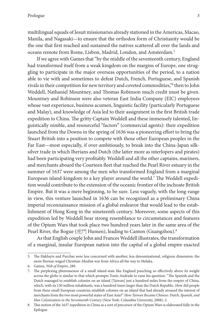multilingual squads of Jesuit missionaries already stationed in the Americas, Macao, Manila, and Nagasaki—to ensure that the orthodox form of Christianity would be the one that first reached and sustained the natives scattered all over the lands and oceans remote from Rome, Lisbon, Madrid, London, and Amsterdam.5

If we agree with Games that "by the middle of the seventeenth century, England had transformed itself from a weak kingdom on the margins of Europe, one struggling to participate in the major overseas opportunities of the period, to a nation able to vie with and sometimes to defeat Dutch, French, Portuguese, and Spanish rivals in their competition for new territory and coveted commodities,"6 then to John Weddell, Nathaniel Mountney, and Thomas Robinson much credit must be given. Mountney and Robinson were also veteran East India Company (EIC) employees whose vast experience, business acumen, linguistic facility (particularly Portuguese and Malay), and knowledge of Asia led to their assignment in the first British trade expedition to China. The gritty Captain Weddell and these immensely talented, linguistically nimble, and resourceful "factors" (commercial agents): their expedition launched from the Downs in the spring of 1636 was a pioneering effort to bring the Stuart British into a position to compete with those other European peoples in the Far East—most especially, if over-ambitiously, to break into the China-Japan silksilver trade in which Iberians and Dutch (the latter more as interlopers and pirates) had been participating very profitably. Weddell and all the other captains, mariners, and merchants aboard the Courteen fleet that reached the Pearl River estuary in the summer of 1637 were among the men who transformed England from a marginal European island-kingdom to a key player around the world.7 The Weddell expedition would contribute to the extension of the oceanic frontier of the inchoate British Empire. But it was a mere beginning, to be sure. Less vaguely, with the long-range in view, this venture launched in 1636 can be recognized as a preliminary China imperial reconnaissance mission of a global endeavor that would lead to the establishment of Hong Kong in the nineteenth century. Moreover, some aspects of this expedition led by Weddell bear strong resemblance to circumstances and features of the Opium Wars that took place two hundred years later in the same area of the Pearl River, the Bogue (虎門 Humen), leading to Canton (Guangzhou).<sup>8</sup>

As that English couple John and Frances Weddell illustrates, the transformation of a marginal, insular European nation into the capital of a global empire exacted

<sup>5.</sup> The Hakluyts and Purchas were less concerned with another, less denominational, religious dimension: the more Iberian-waged Christian-Muslim war from Africa all the way to Melaka.

<sup>6.</sup> Games, *Web of Empire*, 289.

<sup>7.</sup> The perplexing phenomenon of a small island-state like England punching so effectively above its weight across the globe is similar to that which prompts Tonio Andrade to raise his question: "The Spanish and the Dutch managed to establish colonies on an island [Taiwan] just a hundred miles from the empire of China, which, with its 150 million inhabitants, was a hundred times larger than the Dutch Republic. How did people from these small European countries establish colonies on an island that had already aroused the interest of merchants from the two most powerful states of East Asia?" *How Taiwan Became Chinese: Dutch, Spanish, and Han Colonization in the Seventeenth Century* (New York: Columbia University, 2008), 2.

<sup>8.</sup> This notion of the 1637 expedition in China as a sort of precursor of the Opium Wars is elaborated fully in the Epilogue.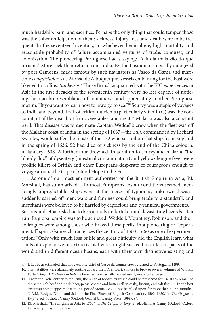much hardship, pain, and sacrifice. Perhaps the only thing that could temper those was the sober anticipation of them: sickness, injury, loss, and death were to be frequent. In the seventeenth century, in whichever hemisphere, high mortality and reasonable probability of failure accompanied ventures of trade, conquest, and colonization. The pioneering Portuguese had a saying: "A India mais vão do que tornam." More seek than return from India. By the Lusitanians, epically eulogized by poet Camoens, made famous by such navigators as Vasco da Gama and maritime *conquistadores* as Afonso de Albuquerque, vessels embarking for the East were likened to coffins: *tumbeiros.*<sup>9</sup> Those British acquainted with the EIC experiences in Asia in the first decades of the seventeenth century were no less capable of noticing the macabre resemblance of containers—and appreciating another Portuguese maxim: "If you want to learn how to pray, go to sea."10 Scurvy was a staple of voyages to India and beyond. Lack of critical nutrients (particularly vitamin C) was the concomitant of the dearth of fruit, vegetables, and meat.<sup>11</sup> Malaria was also a constant peril. That disease was to decimate Captain Weddell's crew when the fleet was off the Malabar coast of India in the spring of 1637—the *Sun*, commanded by Richard Swanley, would suffer the most: of the 132 who set sail on that ship from England in the spring of 1636, 52 had died of sickness by the end of the China sojourn, in January 1638. A further four drowned. In addition to scurvy and malaria, "the bloody flux" of dysentery (intestinal contamination) and yellow/dengue fever were prolific killers of British and other Europeans desperate or courageous enough to voyage around the Cape of Good Hope to the East.

As one of our most eminent authorities on the British Empire in Asia, P.J. Marshall, has summarized: "To most Europeans, Asian conditions seemed menacingly unpredictable. Ships were at the mercy of typhoons, unknown diseases suddenly carried off men, wars and famines could bring trade to a standstill, and merchants were believed to be harried by capricious and tyrannical governments."<sup>12</sup> Serious and lethal risks had to be routinely undertaken and devastating hazards often run if a global empire was to be achieved. Weddell, Mountney, Robinson, and their colleagues were among those who braved these perils, in a pioneering or "experimental" spirit. Games characterizes the century of 1560–1660 as one of experimentation: "Only with much loss of life and great difficulty did the English learn what kinds of exploitative or extractive activities might succeed in different parts of the world and in different ocean basins, each with their own distinctive existing and

<sup>9.</sup> It has been estimated that not even one-third of Vasco da Gama's crew returned to Portugal in 1499.

<sup>10.</sup> That fatalities were alarmingly routine aboard the EIC ships, it suffices to browse several volumes of William Foster's *English Factories in India*, where they are casually related nearly every other page.

<sup>11.</sup> "From the 14th century to the 19th, the range of foodstuffs which could be preserved for use at sea remained the same: salt beef and pork, beer, pease, cheese and butter (all in cask), biscuit, and salt fish. . . . In the best circumstances it appears that in this period victuals could not be relied upon for more than 3 or 4 months." N.A.M. Rodger, "Guns and Sails in the First Phase of English Colonization, 1500–1650," in *The Origins of Empire*, ed. Nicholas Canny (Oxford: Oxford University Press, 1998), 87.

<sup>12.</sup> P.J. Marshall, "The English in Asia to 1700," in *The Origins of Empire*, ed. Nicholas Canny (Oxford: Oxford University Press, 1998), 266.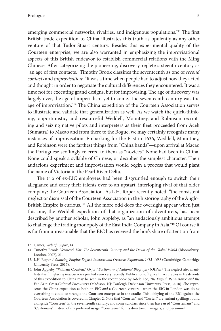emerging commercial networks, rivalries, and indigenous populations."<sup>13</sup> The first British trade expedition to China illustrates this truth as opulently as any other venture of that Tudor-Stuart century. Besides this experimental quality of the Courteen enterprise, we are also warranted in emphasizing the improvisational aspects of this British endeavor to establish commercial relations with the Ming Chinese. After categorizing the pioneering, discovery-replete sixteenth century as "an age of first contacts," Timothy Brook classifies the seventeenth as one of *second contacts* and *improvisation*: "It was a time when people had to adjust how they acted and thought in order to negotiate the cultural differences they encountered. It was a time not for executing grand designs, but for improvising. The age of discovery was largely over, the age of imperialism yet to come. The seventeenth century was the age of improvisation."14 The China expedition of the Courteen Association serves to illustrate and validate that generalization as well. As we watch the quick-thinking, opportunistic, and resourceful Weddell, Mountney, and Robinson recruiting and seizing native pilots and interpreters as their fleet proceeded from Aceh (Sumatra) to Macao and from there to the Bogue, we may certainly recognize many instances of improvisation. Embarking for the East in 1636, Weddell, Mountney, and Robinson were the farthest things from "China hands"—upon arrival at Macao the Portuguese scoffingly referred to them as "novices." None had been in China. None could speak a syllable of Chinese, or decipher the simplest character. Their audacious experiment and improvisation would begin a process that would plant the name of Victoria in the Pearl River Delta.

The trio of ex-EIC employees had been disgruntled enough to switch their allegiance and carry their talents over to an upstart, interloping rival of that older company: the Courteen Association. As L.H. Roper recently noted: "the consistent neglect or dismissal of the Courteen Association in the historiography of the Anglo-British Empire is curious."<sup>15</sup> All the more odd does the oversight appear when just this one, the Weddell expedition of that organization of adventurers, has been described by another scholar, John Appleby, as "an audaciously ambitious attempt to challenge the trading monopoly of the East India Company in Asia."16 Of course it is far from unreasonable that the EIC has received the lion's share of attention from

<sup>13.</sup> Games, *Web of Empire*, 14.

<sup>14.</sup> Timothy Brook, *Vermeer's Hat: The Seventeenth Century and the Dawn of the Global World* (Bloomsbury: London, 2007), 21.

<sup>15.</sup> L.H. Roper, *Advancing Empire: English Interests and Overseas Expansion, 1613–1688* (Cambridge: Cambridge University Press, 2017).

<sup>16.</sup> John Appleby, "William Courten," *Oxford Dictionary of National Biography (ODNB)*. The neglect also manifests itself in glaring inaccuracies printed even very recently. Publication of typical inaccuracies in treatments of this expedition to China may be seen in the recent book by Adele Lee, *The English Renaissance and the Far East: Cross-Cultural Encounters* (Madison, NJ: Fairleigh Dickinson University Press, 2018). She represents the China expedition as both an EIC *and* a Courteen venture—when the EIC in London was doing everything it could to strangle the Courteen enterprise in the cradle. This lobbying of the EIC against the Courteen Association is covered in Chapter 2. Note that "Courten" and "Curten" are variant spellings found alongside "Courteen" in the seventeenth century; and some scholars since then have used "Courtenians" and "Curtenians" instead of my preferred usage, "Courteens," for its directors, managers, and personnel.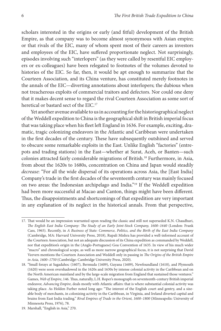scholars interested in the origins or early (and fitful) development of the British Empire, as that company was to become almost synonymous with Asian empire; or that rivals of the EIC, many of whom spent most of their careers as investors and employees of the EIC, have suffered proportionate neglect. Not surprisingly, episodes involving such "interlopers" (as they were called by resentful EIC employers or ex-colleagues) have been relegated to footnotes of the volumes devoted to histories of the EIC. So far, then, it would be apt enough to summarize that the Courteen Association, and its China venture, has constituted merely footnotes in the annals of the EIC—diverting annotations about interlopers; the dubious when not treacherous exploits of commercial traitors and defectors. Nor could one deny that it makes decent sense to regard the rival Courteen Association as some sort of heretical or bastard sect of the EIC.<sup>17</sup>

Yet another avenue available to us in accounting for the historiographical neglect of the Weddell expedition to China is the geographical shift in British imperial focus that was taking place when his fleet left England in 1636. For example, exciting, dramatic, tragic colonizing endeavors in the Atlantic and Caribbean were undertaken in the first decades of the century. These have subsequently outshined and served to obscure some remarkable exploits in the East. Unlike English "factories" (entrepots and trading stations) in the East—whether at Surat, Aceh, or Banten—such colonies attracted fairly considerable migrations of British.18 Furthermore, in Asia, from about the 1620s to 1680s, concentration on China and Japan would steadily *decrease*: "For all the wide dispersal of its operations across Asia, the [East India] Company's trade in the first decades of the seventeenth century was mainly focused on two areas: the Indonesian archipelago and India."19 If the Weddell expedition had been more successful at Macao and Canton, things might have been different. Thus, the disappointments and shortcomings of that expedition are very important in any explanation of its neglect in the historical annals. From that perspective,

<sup>17.</sup> That would be an impression warranted upon reading the classic and still not superseded K.N. Chaudhuri, *The English East India Company: The Study of an Early Joint-Stock Company, 1600–1640* (London: Frank Cass, 1965). Recently, in *A Business of State: Commerce, Politics, and the Birth of the East India Company* (Cambridge, MA: Harvard University Press, 2018), Rupali Mishra has provided a well-informed account of the Courteen Association, but not an adequate discussion of its China expedition as commanded by Weddell, nor that expedition's origin in the (Anglo-Portuguese) Goa Convention of 1635. In view of his much wider "macro" and chronological scope, as well as more narrow geographical focus, it is not surprising that David Veevers mentions the Courteen Association and Weddell only in passing in *The Origins of the British Empire in Asia, 1600–1750* (Cambridge: Cambridge University Press, 2020).

<sup>18.</sup> "Small forays at Sagadahoc (1607), Bermuda (1609), Guyana (1609), Newfoundland (1610), and Plymouth (1620) were soon overshadowed in the 1620s and 1630s by intense colonial activity in the Caribbean and on the North American mainland and by the large-scale migration from England that sustained those ventures." Games, *Web of Empire*, 146. Thus, naturally, L.H. Roper's monograph on seventeenth-century British imperial endeavor, *Advancing Empire*, deals mostly with Atlantic affairs: that is where substantial colonial activity was taking place. As Holden Furber noted long ago: "The interest of the English court and gentry, and a sizeable body of merchants, in colonizing activity in the Caribbean, in Virginia, and Ireland diverted capital and brains from East India trading." *Rival Empires of Trade in the Orient, 1600–1800* (Minneapolis: University of Minnesota Press, 1976), 78.

<sup>19.</sup> Marshall, "English in Asia," 270.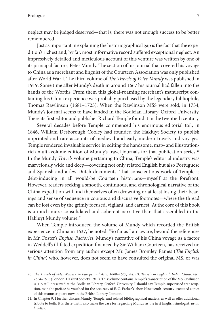neglect may be judged deserved—that is, there was not enough success to be better remembered.

Just as important in explaining the historiographical gap is the fact that the expedition's richest and, by far, most informative record suffered exceptional neglect. An impressively detailed and meticulous account of this venture was written by one of its principal factors, Peter Mundy. The section of his journal that covered his voyage to China as a merchant and linguist of the Courteen Association was only published after World War I. The third volume of *The Travels of Peter Mundy* was published in 1919. Some time after Mundy's death in around 1667 his journal had fallen into the hands of the Worths. From them this global-roaming merchant's manuscript containing his China experience was probably purchased by the legendary bibliophile, Thomas Rawlinson (1681–1725). When the Rawlinson MSS were sold, in 1734, Mundy's journal seems to have landed in the Bodleian Library, Oxford University. There its first editor and publisher Richard Temple found it in the twentieth century.

Several decades before Temple commenced his enormous editorial toil, in 1846, William Desborough Cooley had founded the Hakluyt Society to publish unprinted and rare accounts of medieval and early modern travels and voyages. Temple rendered invaluable service in editing the handsome, map- and illustrationrich multi-volume edition of Mundy's travel journals for that publication series.<sup>20</sup> In the Mundy *Travels* volume pertaining to China, Temple's editorial industry was marvelously wide and deep—covering not only related English but also Portuguese and Spanish and a few Dutch documents. That conscientious work of Temple is debt-inducing in all would-be Courteen historians—myself at the forefront. However, readers seeking a smooth, continuous, and chronological narrative of the China expedition will find themselves often drowning or at least losing their bearings and sense of sequence in copious and discursive footnotes—where the thread can be lost even by the grimly focused, vigilant, and earnest. At the core of this book is a much more consolidated and coherent narrative than that assembled in the Hakluyt Mundy volume.<sup>21</sup>

When Temple introduced the volume of Mundy which recorded the British experience in China in 1637, he noted: "So far as I am aware, beyond the references in Mr. Foster's *English Factories*, Mundy's narrative of his China voyage as a factor in Weddell's ill-fated expedition financed by Sir William Courteen, has received no serious attention from any author except Mr. James Bromley Eames (*The English in China*) who, however, does not seem to have consulted the original MS. or was

<sup>20.</sup> The Travels of Peter Mundy, in Europe and Asia, 1608-1667, Vol. III: Travels in England, India, China, Etc., *1634–1638* (London: Hakluyt Society, 1919). This volume contains Temple's transcription of the MS Rawlinson A.315 still preserved at the Bodleian Library, Oxford University. I should say Temple-supervised transcription, as in the preface he vouched for the accuracy of E. G. Parker's labor. Nineteenth-century-executed copies of this manuscript are now in the British Library, London.

<sup>21.</sup> In Chapter 9, I further discuss Mundy, Temple, and related bibliographical matters, as well as offer additional tribute to both. It is there that I also make the case for regarding Mundy as the first English sinologist, *avant la lettre*.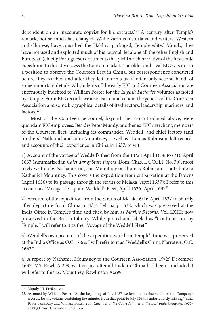dependent on an inaccurate copyist for his extracts."<sup>22</sup> A century after Temple's remark, not so much has changed. While various historians and writers, Western and Chinese, have consulted the Hakluyt-packaged, Temple-edited Mundy, they have not used and exploited much of his journal, let alone all the other English and European (chiefly Portuguese) documents that yield a rich narrative of the first trade expedition to directly access the Canton market. The older and rival EIC was not in a position to observe the Courteen fleet in China, but correspondence conducted before they reached and after they left informs us, if often only second-hand, of some important details. All students of the early EIC and Courteen Association are enormously indebted to William Foster for the *English Factories* volumes as noted by Temple. From EIC records we also learn much about the genesis of the Courteen Association and some biographical details of its directors, leadership, mariners, and factors.<sup>23</sup>

Most of the Courteen personnel, beyond the trio introduced above, were quondam EIC employees. Besides Peter Mundy, another ex-EIC merchant, members of the Courteen fleet, including its commander, Weddell, and chief factors (and brothers) Nathaniel and John Mountney, as well as Thomas Robinson, left records and accounts of their experience in China in 1637; to wit:

1) Account of the voyage of Weddell's fleet from the 14/24 April 1636 to 6/16 April 1637 (summarized in *Calendar of State Papers*, Dom. Chas. I. CCCLI, No. 30), most likely written by Nathaniel or John Mountney or Thomas Robinson—I attribute to Nathaniel Mountney. This covers the expedition from embarkation at the Downs (April 1636) to its passage through the straits of Melaka (April 1637); I refer to this account as "Voyage of Captain Weddell's Fleet, April 1636–April 1637."

2) Account of the expedition from the Straits of Melaka 6/16 April 1637 to shortly after departure from China in 4/14 February 1638; which was preserved at the India Office in Temple's time and cited by him as *Marine Records*, Vol. LXIII; now preserved in the British Library. While quoted and labeled as "Continuation" by Temple, I will refer to it as the "Voyage of the Weddell Fleet."

3) Weddell's own account of the expedition which in Temple's time was preserved at the India Office as O.C. 1662. I will refer to it as "Weddell's China Narrative, O.C. 1662."

4) A report by Nathaniel Mountney to the Courteen Association, 19/29 December 1637, MS. Rawl. A.299, written just after all trade in China had been concluded. I will refer to this as: Mountney, Rawlinson A.299.

<sup>22.</sup> Mundy, III, Preface, vii.

<sup>23.</sup> As noted by William Foster: "At the beginning of July 1637 we lose the invaluable aid of the Company's records, for the volume containing the minutes from that point to July 1639 is unfortunately missing." Ethel Bruce Sainsbury and William Foster, eds., *Calendar of the Court Minutes of the East India Company, 1635– 1639* (Oxford: Clarendon, 1907), xxiv.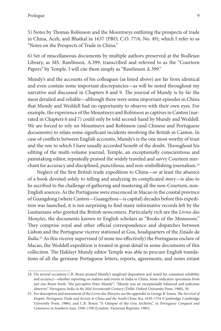5) Notes by Thomas Robinson and the Mountneys outlining the prospects of trade in China, Aceh, and Bhatkal in 1637 (PRO, C.O. 77/6, No. 49); which I refer to as "Notes on the Prospects of Trade in China."

6) Set of miscellaneous documents by multiple authors preserved at the Bodleian Library, as MS. Rawlinson, A.399, transcribed and referred to as the "Courteen Papers" by Temple. I will cite them simply as "Rawlinson A.399."

Mundy's and the accounts of his colleagues (as listed above) are far from identical and even contain some important discrepancies—as will be noted throughout my narrative and discussed in Chapters 8 and 9. The journal of Mundy is by far the most detailed and reliable—although there were some important episodes in China that Mundy and Weddell had no opportunity to observe with their own eyes. For example, the experience of the Mountneys and Robinson as captives in Canton (narrated in Chapters 6 and 7) could only be told second-hand by Mundy and Weddell. We are forced to rely on Mountneys and Robinson (and Chinese and Portuguese documents) to relate some significant incidents involving the British in Canton. In case of conflicts between English accounts, Mundy's is the one most worthy of trust and the one to which I have usually accorded benefit of the doubt. Throughout his editing of the multi-volume journal, Temple, an exceptionally conscientious and painstaking editor, repeatedly praised the widely traveled and savvy Courteen merchant for accuracy and disciplined, punctilious, and non-embellishing journalism.24

Neglect of the first British trade expedition to China—or at least the absence of a book devoted solely to telling and analyzing its complicated story—is also to be ascribed to the challenge of gathering and mastering all the non-Courteen, non-English sources. As the Portuguese were ensconced in Macao in the coastal province of Guangdong (where Canton—Guangzhou—is capital) decades before this expedition was launched, it is not surprising to find many informative records left by the Lusitanians who greeted the British newcomers. Particularly rich are the *Livros das Monções*, the documents known to English scholars as "Books of the Monsoons." They comprise royal and other official correspondence and dispatches between Lisbon and the Portuguese viceroy stationed at Goa, headquarters of the *Estado da Índia*. 25 As this viceroy supervised (if none too effectively) the Portuguese enclave of Macao, the Weddell expedition is treated in great detail in some documents of this collection. The Hakluyt Mundy editor Temple was able to procure English translations of all the germane Portuguese letters, reports, agreements, and notes extant

<sup>24.</sup> On several occasions C.R. Boxer praised Mundy's sangfroid disposition and noted his consistent reliability and accuracy—whether reporting on matters and events in India or China. Some indicative specimens from just one Boxer book: "the perceptive Peter Mundy"; "Mundy was an exceptionally balanced and judicious observer." *Portuguese India in the Mid-Seventeenth Century* (Delhi: Oxford University Press, 1980), 50.

<sup>25.</sup> For description and assessment of the *Livros das Monções* see the appendix in George B. Souza, *The Survival of Empire: Portuguese Trade and Society in China and the South China Sea, 1630–1754* (Cambridge: Cambridge University Press, 1986); and C.R. Boxer, "A Glimpse of the Goa Archives," in *Portuguese Conquest and Commerce in Southern Asia, 1500–1700* (London: Variorum Reprints, 1985).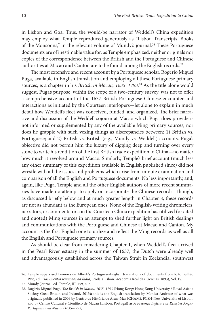in Lisbon and Goa. Thus, the would-be narrator of Weddell's China expedition may employ what Temple reproduced generously as "Lisbon Transcripts, Books of the Monsoons," in the relevant volume of Mundy's journal.<sup>26</sup> These Portuguese documents are of inestimable value for, as Temple emphasized, neither originals nor copies of the correspondence between the British and the Portuguese and Chinese authorities at Macao and Canton are to be found among the English records.<sup>27</sup>

The most extensive and recent account by a Portuguese scholar, Rogério Miguel Puga, available in English translation and employing all these Portuguese primary sources, is a chapter in his *British in Macau, 1635–1793*. 28 As the title alone would suggest, Puga's purpose, within the scope of a two-century survey, was not to offer a comprehensive account of the 1637 British-Portuguese-Chinese encounter and interactions as initiated by the Courteen interlopers—let alone to explain in much detail how Weddell's fleet was conceived, funded, and organized. The brief narrative and discussion of the Weddell sojourn at Macao which Puga does provide is not informed or supplemented by any of the available Ming primary sources; nor does he grapple with such vexing things as discrepancies between: 1) British vs. Portuguese; and 2) British vs. British (e.g., Mundy vs. Weddell) accounts. Puga's objective did not permit him the luxury of digging deep and turning over every stone to write his rendition of the first British trade expedition to China—no matter how much it revolved around Macao. Similarly, Temple's brief account (much less any other summary of this expedition available in English published since) did not wrestle with all the issues and problems which arise from minute examination and comparison of all the English and Portuguese documents. No less importantly, and, again, like Puga, Temple and all the other English authors of more recent summaries have made no attempt to apply or incorporate the Chinese records—though, as discussed briefly below and at much greater length in Chapter 8, these records are not as abundant as the European ones. None of the English-writing chroniclers, narrators, or commentators on the Courteen China expedition has utilized (or cited and quoted) Ming sources in an attempt to shed further light on British dealings and communications with the Portuguese and Chinese at Macao and Canton. My account is the first English one to utilize and reflect the Ming records as well as all the English and Portuguese primary sources.

As should be clear from considering Chapter 1, when Weddell's fleet arrived in the Pearl River estuary in the summer of 1637, the Dutch were already well and advantageously established across the Taiwan Strait in Zeelandia, southwest

<sup>26.</sup> Temple supervised Leonora de Alberti's Portuguese-English translations of documents from R.A. Bulhão Pato, ed., *Documentos remetidos da Índia*, 5 vols. (Lisbon: Academia Real das Ciências, 1893), Vol. IV.

<sup>27.</sup> Mundy, Journal, ed. Temple, III, 159, n. 3.

<sup>28.</sup> Rogério Miguel Puga, *The British in Macau, 1635–1793* (Hong Kong: Hong Kong University / Royal Asiatic Society Great Britain and Ireland, 2013); this is the English translation by Monica Andrade of what was originally published in 2009 by Centro de História de Alem-Mar (CHAM), FCSH-New University of Lisbon, and by Centro Cultural e Científico de Macau (Lisbon, Portugal) as *A Presença Inglesa e as Relações Anglo-Portuguesas em Macau (1635–1793)*.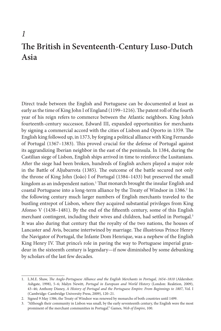## *1* **The British in Seventeenth-Century Luso-Dutch Asia**

Direct trade between the English and Portuguese can be documented at least as early as the time of King John I of England (1199–1216). The patent roll of the fourth year of his reign refers to commerce between the Atlantic neighbors. King John's fourteenth-century successor, Edward III, expanded opportunities for merchants by signing a commercial accord with the cities of Lisbon and Oporto in 1359. The English king followed up, in 1373, by forging a political alliance with King Fernando of Portugal (1367–1383). This proved crucial for the defense of Portugal against its aggrandizing Iberian neighbor in the east of the peninsula. In 1384, during the Castilian siege of Lisbon, English ships arrived in time to reinforce the Lusitanians. After the siege had been broken, hundreds of English archers played a major role in the Battle of Aljubarrota (1385). The outcome of the battle secured not only the throne of King John (João) I of Portugal (1384–1433) but preserved the small kingdom as an independent nation.<sup>1</sup> That monarch brought the insular English and coastal Portuguese into a long-term alliance by the Treaty of Windsor in 1386.<sup>2</sup> In the following century much larger numbers of English merchants traveled to the bustling entrepot of Lisbon, where they acquired substantial privileges from King Afonso V (1438–1481). By the end of the fifteenth century, some of this English merchant contingent, including their wives and children, had settled in Portugal.<sup>3</sup> It was also during that century that the royalty of the two nations, the houses of Lancaster and Avis, became intertwined by marriage. The illustrious Prince Henry the Navigator of Portugal, the Infante Dom Henrique, was a nephew of the English King Henry IV. That prince's role in paving the way to Portuguese imperial grandeur in the sixteenth century is legendary—if now diminished by some debunking by scholars of the last few decades.

<sup>1.</sup> L.M.E. Shaw, *The Anglo-Portuguese Alliance and the English Merchants in Portugal, 1654–1810* (Aldershot: Ashgate, 1998), 5–6; Malyn Newitt, *Portugal in European and World History* (London: Reaktion, 2009), 43–46; Anthony Disney, *A History of Portugal and the Portuguese Empire: From Beginnings to 1807*, Vol. I (Cambridge: Cambridge University Press, 2009), 120–21.

<sup>2.</sup> Signed 9 May 1386, the Treaty of Windsor was renewed by monarchs of both countries until 1499.

<sup>3.</sup> "Although their community in Lisbon was small, by the early seventeenth century, the English were the most prominent of the merchant communities in Portugal." Games, *Web of Empire*, 100.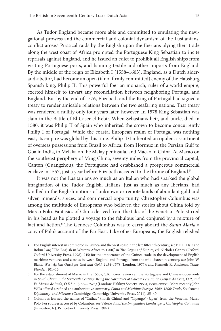As Tudor England became more able and committed to emulating the navigational prowess and the commercial and colonial dynamism of the Lusitanians, conflict arose.<sup>4</sup> Piratical raids by the English upon the Iberians plying their trade along the west coast of Africa prompted the Portuguese King Sebastian to incite reprisals against England, and he issued an edict to prohibit all English ships from visiting Portuguese ports, and banning textile and other imports from England. By the middle of the reign of Elizabeth I (1558–1603), England, as a Dutch aiderand-abettor, had become an open (if not firmly committed) enemy of the Habsburg Spanish king, Philip II. This powerful Iberian monarch, ruler of a world empire, exerted himself to thwart any reconciliation between neighboring Portugal and England. But by the end of 1576, Elizabeth and the King of Portugal had signed a treaty to render amicable relations between the two seafaring nations. That treaty was rendered a nullity only four years later, however. In 1578 King Sebastian was slain in the Battle of El Caser-el Kebir. When Sebastian's heir, and uncle, died in 1580, it was Philip II of Spain who inherited the crown to become concurrently Philip I of Portugal. While the coastal European realm of Portugal was nothing vast, its empire was global by this time. Philip II/I inherited an opulent assortment of overseas possessions from Brazil to Africa, from Hormuz in the Persian Gulf to Goa in India, to Melaka on the Malay peninsula, and Macao in China. At Macao on the southeast periphery of Ming China, seventy miles from the provincial capital, Canton (Guangzhou), the Portuguese had established a prosperous commercial enclave in 1557, just a year before Elizabeth acceded to the throne of England.<sup>5</sup>

It was not the Lusitanians so much as an Italian who had sparked the global imagination of the Tudor English. Italians, just as much as any Iberians, had kindled in the English notions of unknown or remote lands of abundant gold and silver, minerals, spices, and commercial opportunity. Christopher Columbus was among the multitude of Europeans who believed the stories about China told by Marco Polo. Fantasies of China derived from the tales of the Venetian Polo stirred in his head as he plotted a voyage to the fabulous land conjured by a mixture of fact and fiction.6 The Genoese Columbus was to carry aboard the *Santa Maria* a copy of Polo's account of the Far East. Like other Europeans, the English relished

<sup>4.</sup> For English interest in commerce in Guinea and the west coast in the late fifteenth century, see P.E.H. Hair and Robin Law, "The English in Western Africa to 1700," in *The Origins of Empire*, ed. Nicholas Canny (Oxford: Oxford University Press, 1998), 245; for the importance of the Guinea trade in the development of English maritime ventures and clashes between England and Portugal from the mid-sixteenth century, see John W. Blake, *West Africa: Quest for God and Gold, 1454–1578* (London, 1977); and Kenneth R. Andrews, *Trade, Plunder*, 101–15.

<sup>5.</sup> For the establishment of Macao in the 1550s, C.R. Boxer reviews all the Portuguese and Chinese documents in South China in the Sixteenth Century: Being the Narratives of Galeote Pereira, Fr. Gaspar da Cruz, O.P., and *Fr. Martin de Rada, O.E.S.A. (1550–1575)* (London: Hakluyt Society, 1953), xxxiii–xxxvii. More recently John Wills offered a refined and authoritative summary, *China and Maritime Europe, 1500–1800: Trade, Settlement, Diplomacy, and Missions* (Cambridge: Cambridge University Press, 2011), 35–40.

<sup>6.</sup> Columbus learned the names of "Cathay" (north China) and "Cipango" (Japan) from the Venetian Marco Polo. For sources accessed by Columbus, see Valerie Flint, *The Imaginative Landscape of Christopher Columbus* (Princeton, NJ: Princeton University Press, 1992).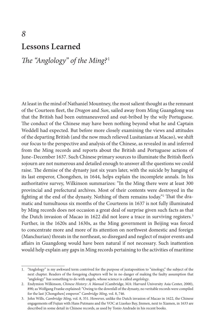## *8* **Lessons Learned**

#### *The "Anglology" of the Ming?* <sup>1</sup>

At least in the mind of Nathaniel Mountney, the most salient thought as the remnant of the Courteen fleet, the *Dragon* and *Sun*, sailed away from Ming Guangdong was that the British had been outmaneuvered and out-bribed by the wily Portuguese. The conduct of the Chinese may have been nothing beyond what he and Captain Weddell had expected. But before more closely examining the views and attitudes of the departing British (and the now much relieved Lusitanians at Macao), we shift our focus to the perspective and analysis of the Chinese, as revealed in and inferred from the Ming records and reports about the British and Portuguese actions of June–December 1637. Such Chinese primary sources to illuminate the British fleet's sojourn are not numerous and detailed enough to answer all the questions we could raise. The demise of the dynasty just six years later, with the suicide by hanging of its last emperor, Chongzhen, in 1644, helps explain the incomplete annals. In his authoritative survey, Wilkinson summarizes: "In the Ming there were at least 300 provincial and prefectural archives. Most of their contents were destroyed in the fighting at the end of the dynasty. Nothing of them remains today."2 That the dramatic and tumultuous six months of the Courteens in 1637 is not fully illuminated by Ming records does not occasion a great deal of surprise given such facts as that the Dutch invasion of Macao in 1622 did not leave a trace in surviving registers.<sup>3</sup> Further, in the 1620s and 1630s, as the Ming government in Beijing was forced to concentrate more and more of its attention on northwest domestic and foreign (Manchurian) threats in the northeast, so disregard and neglect of major events and affairs in Guangdong would have been natural if not necessary. Such inattention would help explain any gaps in Ming records pertaining to the activities of maritime

<sup>1.</sup> "Anglology" is my awkward term contrived for the purpose of juxtaposition to "sinology," the subject of the next chapter. Readers of the foregoing chapters will be in no danger of making the faulty assumption that "anglology" has something to do with angels, whose science is called *angelology*.

<sup>2.</sup> Endymion Wilkinson, *Chinese History: A Manual* (Cambridge, MA: Harvard University Asia Center, 2000), 890; as Wolfgang Franke explained: "Owing to the downfall of the dynasty, no veritable records were compiled for the last [Chongzhen] emperor." *Cambridge Ming*, vol. 8, 746.

<sup>3.</sup> John Wills, *Cambridge Ming*, vol. 8, 351. However, unlike the Dutch invasion of Macao in 1622, the Chinese engagements off Fujian with Hans Putmans and the VOC at Liaoluo Bay, Jinmen, next to Xiamen, in 1633 are described in some detail in Chinese records, as used by Tonio Andrade in his recent books.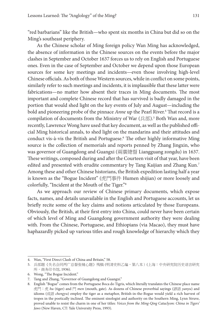"red barbarians" like the British—who spent six months in China but did so on the Ming's southeast periphery.

As the Chinese scholar of Ming foreign policy Wan Ming has acknowledged, the absence of information in the Chinese sources on the events before the major clashes in September and October 1637 forces us to rely on English and Portuguese ones. Even in the case of September and October we depend upon those European sources for some key meetings and incidents—even those involving high-level Chinese officials. As both of those Western sources, while in conflict on some points, similarly refer to such meetings and incidents, it is implausible that these latter were fabrications—no matter how absent their traces in Ming documents. The most important and complete Chinese record that has survived is badly damaged in the portion that would shed light on the key events of July and August—including the bold and pioneering probe of the pinnace *Anne* up the Pearl River.4 That record is a compilation of documents from the Ministry of War (兵部).<sup>5</sup> Both Wan and, more recently, Lawrence Wong have used that key document, as well as the published official Ming historical annals, to shed light on the mandarins and their attitudes and conduct vis-à-vis the British and Portuguese.<sup>6</sup> The other highly informative Ming source is the collection of memorials and reports penned by Zhang Jingxin, who was governor of Guangdong and Guangxi (兩廣總督 Liangguang zongdu) in 1637. These writings, composed during and after the Courteen visit of that year, have been edited and presented with erudite commentary by Tang Kaijian and Zhang Kun.<sup>7</sup> Among these and other Chinese historians, the British expedition lasting half a year is known as the "Bogue Incident" (虎門事件 Humen shijian) or more loosely and colorfully, "Incident at the Mouth of the Tiger."8

As we approach our review of Chinese primary documents, which expose facts, names, and details unavailable in the English and Portuguese accounts, let us briefly recite some of the key claims and notions articulated by those Europeans. Obviously, the British, at their first entry into China, could never have been certain of which level of Ming and Guangdong government authority they were dealing with. From the Chinese, Portuguese, and Ethiopians (via Macao), they must have haphazardly picked up various titles and rough knowledge of hierarchy which they

<sup>4.</sup> Wan, "First Direct Clash of China and Britain," 58.

<sup>5.</sup> 兵部题《失名会同两广总督张镜心题》残稿(明清史料乙编,第八本)(上海:中央研究院历史语言研究 所,商务印书馆, 1936).

<sup>6.</sup> Wong, "The Bogue Incident."

<sup>7.</sup> Tang and Zhang, "Governor of Guangdong and Guangxi."

<sup>8.</sup> English "Bogue" comes from the Portuguese Boca do Tigris, which literally translates the Chinese place name 虎門:虎 *hu* (tiger) and 門 *men* (mouth, gate). As dozens of Chinese proverbial sayings (諺語 *yanyu*) and idioms (成語 *chengyu*) employ the tiger as a metaphor, British-in-the-Bogue would yield a rich harvest of tropes in the poetically inclined. The eminent sinologist and authority on the Southern Ming, Lynn Struve, proved unable to resist the charm in one of her titles: *Voices from the Ming-Qing Cataclysm: China in Tigers' Jaws* (New Haven, CT: Yale University Press, 1993).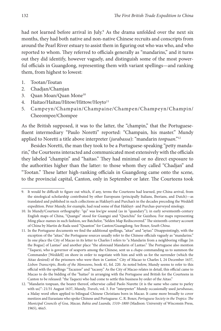had not learned before arrival in July.<sup>9</sup> As the drama unfolded over the next six months, they had both native and non-native Chinese recruits and conscripts from around the Pearl River estuary to assist them in figuring out who was who, and who reported to whom. They referred to officials generally as "mandarins," and it turns out they did identify, however vaguely, and distinguish some of the most powerful officials in Guangdong, representing them with variant spellings—and ranking them, from highest to lowest:

- 1. Tootan/Toutan
- 2. Chadjan/Chamjan
- 3. Quan Moan/Quan Mone<sup>10</sup>
- 4. Haitao/Haitau/Hitow/Hittow/Hoyto<sup>11</sup>
- 5. Campeyn/Champain/Champaine/Champen/Champeyn/Champin/ Cheeompee/Chompee

As the British supposed, it was to the latter, the "champin," that the Portuguesefluent intermediary "Paulo Noretti" reported: "Champain, his master." Mundy applied to Noretti a title above interpreter (*jurabassa*): "mandarin *tonpuan*."12

Besides Noretti, the man they took to be a Portuguese-speaking "petty mandarin," the Courteens interacted and communicated most extensively with the officials they labeled "champin" and "haitao." They had minimal or no direct exposure to the authorities higher than the latter: to those whom they called "Chadjan" and "Tootan." These latter high-ranking officials in Guangdong came onto the scene, to the provincial capital, Canton, only in September or later. The Courteens took

<sup>9.</sup> It would be difficult to figure out which, if any, terms the Courteens had learned, pre-China arrival, from the sinological scholarship contributed by other Europeans (principally Italians, Iberians, and Dutch)—as translated and published in such collections as Hakluyt's and Purchas's in the decades preceding the Weddell expedition. Peter Mundy, for example, had read some of that Hakluyt- and Purchas-purveyed sinology.

<sup>10.</sup> In Mundy/Courteen orthography: "qu" was kw/gw sound (as in "quandary"); in early seventeenth-century English maps of China, "Quangsi" stood for Guangxi and "Queichiu" for Guizhou. For maps representing Ming place-names in such fashion, see Batchelor, "Selden Map Rediscovered." The sixteenth-century account of China by Martin de Rada used "Quanton" for Canton/Guangdong. See Boxer, *South China*.

<sup>11.</sup> In the Portuguese documents we find the additional spellings, "aitao" and "aytao." Disappointingly, with the exception of the "aitao," the Portuguese sources usually refer to the Chinese officials vaguely as "mandarins." In one place the City of Macao in its letter to Charles I refers to "a Mandarin from a neighboring village [in the Bogue] of Lantao" and another place "the aforesaid Mandarin of Lantao." The Portuguese also mention "Taquexi, who is governor of seaports among the Chinese, sent us a *chapa* commanding us to summon the Commander [Weddell] on shore in order to negotiate with him and with us for the surrender (which the Aitao desired) of the prisoners who were then in Canton." City of Macao to Charles I, 24 December 1637, *Lisbon Transcripts*, *Books of the Monsoons*, book 41, fol. 220. As noted below, Mundy seems to refer to this official with the spellings "Tacazzee" and "tacassy." As the City of Macao relates in detail, this official came to Macao to do the bidding of the "haitao" in arranging with the Portuguese and British for the Courteens in Canton to be released: "the Taquexi who had come to settle this business by order of the Aitao."

<sup>12.</sup> "Mandarin tonpuan, the bearer thereof, otherwise called Paolo Nurette (it is the same who came to parley with us)": 21/31 August 1637, Mundy, *Travels*, vol. 3. For "interpreter" Mundy occasionally used *jurubassas*, a Malay word often applied to bilingual Chinese Christians born in Macao. It came more broadly to cover mestizos and Eurasians who spoke Chinese and Portuguese. C. R. Boxer, *Portuguese Society in the Tropics: The Municipal Councils of Goa, Macao, Bahia and Luanda, 1510–1800* (Madison: University of Wisconsin Press, 1965), 46n5.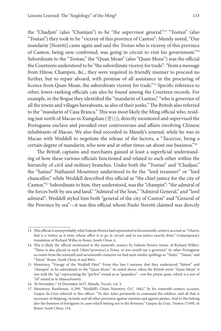the "Chadjan" (also "Chamjan") to be "the supervisor general."13 "Tootan" (also "Toutan") they took to be "viceroy of this province of Canton": Mundy noted, "Our mandarin [Noretti] came again and said the *Tootan* who is viceroy of this province of Canton, being new confirmed, was going in circuit to visit his government."14 Subordinate to the "Tootan," the "Quan Moan" (also "Quan Mone") was the official the Courteens understood to be "the subordinate viceroy for trade": "from a message from Hitow, Champen, &c., they were required in friendly manner to proceed no further, but to repair aboard, with promise of all assistance in the procuring of licence from Quan Moan, the subordinate viceroy for trade."15 Specific reference to other, lower-ranking officials can also be found among the Courteen records. For example, in the Bogue they identified the "mandarin of Lantao," "who is governor of all the towns and villages hereabouts, as also of their junks." The British also referred to the "mandarin of Casa Branca." This was most likely the Ming official who, residing just north of Macao in Xiangshan (香山), directly monitored and supervised the Portuguese enclave and presided over controversies and affairs involving Chinese inhabitants of Macao. We also find recorded in Mundy's journal, while he was in Macao with Weddell to negotiate the release of the factors, a "*Tacazzee*, being a certain degree of mandarin, who now and at other times sat about our business."16

The British captains and merchants gained at least a superficial understanding of how these various officials functioned and related to each other within the hierarchy of civil and military branches. Under both the "Tootan" and "Chadjan," the "haitao" Nathaniel Mountney understood to be the "lord treasurer" or "lord chancellor," while Weddell described this official as "the chief justice for the city of Canton."17 Subordinate to him, they understood, was the "champin": "the admiral of the forces both by sea and land," "Admiral of the Seas," "Admiral General," and "lord admiral"; Weddell styled him both "general of the city of Canton" and "General of the Province by sea"—it was this official whom Paulo Noretti claimed was directly

<sup>13.</sup> This official is most probably what Galeote Pereira had represented in his sixteenth-century account as "*Chaem*, that is a visitor, as it were, whose office is to go in circuit, and to see justice exactly done." Contemporary translation of Richard Willes in Boxer, *South China*, 6.

<sup>14.</sup> This is likely the official mentioned in the sixteenth century by Galeote Pereira (trans. of Richard Willes): "There is also placed in each ['shire'/province] a *Tutao*, as you would say a governor." In other Portuguese accounts from the sixteenth and seventeenth centuries we find such similar spellings as "Tutão," "Tutam," and "Tutan." Boxer, *South China*, 6 and 89n1.

<sup>15.</sup> Mountney, "Voyage of the Weddell Fleet." From this line I surmise that they understood "hittow" and "champin" to be subordinate to the "Quan Moan." As noted above, when the British wrote "Quan Moan" it was with the "qu" representing the "gw/kw" sound as in "quandary"—not the pinyin *quan*, which is a sort of "ch" sound as in Massa*ch*usetts.

<sup>16.</sup> 30 November / 10 December 1637, Mundy, *Travels*, vol. 3.

<sup>17.</sup> Mountney, Rawlinson, A.299; "Weddell's China Narrative, O.C. 1662." In his sixteenth-century account, Gaspar da Cruz referred to this officer: "To this *Aitao* pertaineth to command the soldiers, and all that is necessary of shipping, victuals, and all other provision against enemies and against pirates. And to this belong also the business of foreigners in cases which belong not to the Revenue." Gaspar da Cruz, *Treatise* (1569), in Boxer, *South China*, 154.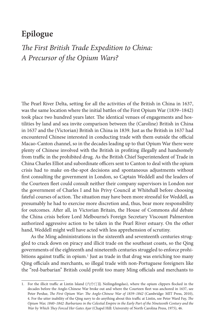#### **Epilogue**

### *The First British Trade Expedition to China: A Precursor of the Opium Wars?*

The Pearl River Delta, setting for all the activities of the British in China in 1637, was the same location where the initial battles of the First Opium War (1839–1842) took place two hundred years later. The identical venues of engagements and hostilities by land and sea invite comparison between the (Caroline) British in China in 1637 and the (Victorian) British in China in 1839. Just as the British in 1637 had encountered Chinese interested in conducting trade with them outside the official Macao-Canton channel, so in the decades leading up to that Opium War there were plenty of Chinese involved with the British in profiting illegally and handsomely from traffic in the prohibited drug. As the British Chief Superintendent of Trade in China Charles Elliot and subordinate officers sent to Canton to deal with the opium crisis had to make on-the-spot decisions and spontaneous adjustments without first consulting the government in London, so Captain Weddell and the leaders of the Courteen fleet could consult neither their company supervisors in London nor the government of Charles I and his Privy Council at Whitehall before choosing fateful courses of action. The situation may have been more stressful for Weddell, as presumably he had to exercise more discretion and, thus, bear more responsibility for outcomes. After all, in Victorian Britain, the House of Commons *did* debate the China crisis before Lord Melbourne's Foreign Secretary Viscount Palmerston authorized aggressive action to be taken in the Pearl River estuary. On the other hand, Weddell might well have acted with less apprehension of scrutiny.

As the Ming administrations in the sixteenth and seventeenth centuries struggled to crack down on piracy and illicit trade on the southeast coasts, so the Qing governments of the eighteenth and nineteenth centuries struggled to enforce prohibitions against traffic in opium.<sup>1</sup> Just as trade in that drug was enriching too many Qing officials and merchants, so illegal trade with non-Portuguese foreigners like the "red-barbarian" British could profit too many Ming officials and merchants to

<sup>1.</sup> For the illicit traffic at Lintin Island (內伶仃島 Neilingdingdao), where the opium clippers flocked in the decades before the Anglo-Chinese War broke out and where the Courteen fleet was anchored in 1637, see Peter Perdue, *The First Opium War: The Anglo-Chinese War of 1839–1842* (Cambridge: MIT Press, 2010), 4. For the utter inability of the Qing navy to do anything about this traffic at Lintin, see Peter Ward Fay, *The* Opium War, 1840-1842: Barbarians in the Celestial Empire in the Early Part of the Nineteenth Century and the *War by Which They Forced Her Gates Ajar* (Chapel Hill: University of North Carolina Press, 1975), 46.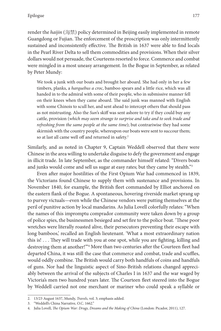render the *haijin* (海禁) policy determined in Beijing easily implemented in remote Guangdong or Fujian. The enforcement of the proscription was only intermittently sustained and inconsistently effective. The British in 1637 were able to find locals in the Pearl River Delta to sell them commodities and provisions. When their silver dollars would not persuade, the Courteens resorted to force. Commerce and combat were mingled in a most uneasy arrangement. In the Bogue in September, as related by Peter Mundy:

We took a junk with our boats and brought her aboard. She had only in her a few timbers, planks, a *harquebus a croc*, bamboo spears and a little rice, which was all handed in to the admiral with some of their people, who in submissive manner fell on their knees when they came aboard. The said junk was manned with English with some Chinois to scull her, and sent ahead to intercept others that should pass as not mistrusting. Also the *Sun*'s skiff was sent ashore to try if they could buy any cattle, provision (*which may seem strange to surprise and take and to seek trade and refreshing from the same people at the same time*); but contrariwise they had some skirmish with the country people, whereupon our boats were sent to succour them; so at last all came well off and returned in safety.<sup>2</sup>

Similarly, and as noted in Chapter 9, Captain Weddell observed that there were Chinese in the area willing to undertake disguise to defy the government and engage in illicit trade. In late September, as the commander himself related: "Divers boats and junks would come and sell us sugar at easy rates; but they came by stealth."3

Even after major hostilities of the First Opium War had commenced in 1839, the Victorians found Chinese to supply them with sustenance and provisions. In November 1840, for example, the British fleet commanded by Elliot anchored on the eastern flank of the Bogue. A spontaneous, hovering riverside market sprang up to purvey victuals—even while the Chinese vendors were putting themselves at the peril of punitive action by local mandarins. As Julia Lovell colorfully relates: "When the names of this impromptu comprador community were taken down by a group of police spies, the businessmen besieged and set fire to the police boat. 'These poor wretches were literally roasted alive, their persecutors preventing their escape with long bamboos,' recalled an English lieutenant. 'What a most extraordinary nation this is! . . . They will trade with you at one spot, while you are fighting, killing and destroying them at another!"<sup>24</sup> More than two centuries after the Courteen fleet had departed China, it was still the case that commerce and combat, trade and scuffles, would oddly combine. The British would carry both handfuls of coins and handfuls of guns. Nor had the linguistic aspect of Sino-British relations changed appreciably between the arrival of the subjects of Charles I in 1637 and the war waged by Victoria's men two hundred years later. The Courteen fleet steered into the Bogue by Weddell carried not one merchant or mariner who could speak a syllable or

<sup>2.</sup> 13/23 August 1637, Mundy, *Travels*, vol. 3; emphasis added.

<sup>3.</sup> "Weddell's China Narrative, O.C. 1662."

<sup>4.</sup> Julia Lovell, *The Opium War: Drugs, Dreams and the Making of China* (London: Picador, 2011), 127.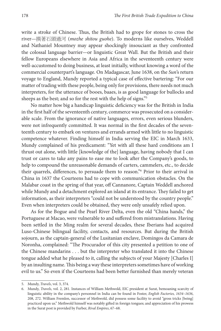write a stroke of Chinese. Thus, the British had to grope for stones to cross the river—摸著石頭過河 (*mozhe shitou guohe*). To moderns like ourselves, Weddell and Nathaniel Mountney may appear shockingly insouciant as they confronted the colossal language barrier—or linguistic Great Wall. But the British and their fellow Europeans elsewhere in Asia and Africa in the seventeenth century were well-accustomed to doing business, at least initially, without knowing a word of the commercial counterpart's language. On Madagascar, June 1638, on the *Sun*'s return voyage to England, Mundy reported a typical case of effective bartering: "For our matter of trading with these people, being only for provisions, there needs not much interpreters, for the utterance of booes, baaes, is as good language for bullocks and sheeps as the best; and so for the rest with the help of signs."5

No matter how big a handicap linguistic deficiency was for the British in India in the first half of the seventeenth century, commerce was prosecuted on a considerable scale. From the ignorance of native languages, errors, even serious blunders, were not infrequently committed. It was normal in the first decades of the seventeenth century to embark on ventures and errands armed with little to no linguistic competence whatever. Finding himself in India serving the EIC in March 1633, Mundy complained of his predicament: "Yet with all these hard conditions am I thrust out alone, with little [knowledge of the] language, having nobody that I can trust or cares to take any pains to ease me to look after the Company's goods, to help to compound the unreasonable demands of carters, cammelers, etc., to decide their quarrels, differences, to persuade them to reason."6 Prior to their arrival in China in 1637 the Courteens had to cope with communication obstacles. On the Malabar coast in the spring of that year, off Cannanore, Captain Weddell anchored while Mundy and a detachment explored an island at its entrance. They failed to get information, as their interpreters "could not be understood by the country people." Even when interpreters could be obtained, they were only unsafely relied upon.

As for the Bogue and the Pearl River Delta, even the old "China hands," the Portuguese at Macao, were vulnerable to and suffered from mistranslations. Having been settled in the Ming realm for several decades, these Iberians had acquired Luso-Chinese bilingual facility, contacts, and resources. But during the British sojourn, as the captain-general of the Lusitanian enclave, Domingos da Camara de Noronha, complained: "The Procurador of this city presented a petition to one of the Chinese mandarins . . . but the interpreter who translated it into the Chinese tongue added what he pleased to it, calling the subjects of your Majesty [Charles I] by an insulting name. This being a way these interpreters sometimes have of working evil to us." So even if the Courteens had been better furnished than merely veteran

<sup>5.</sup> Mundy, *Travels*, vol. 3, 374.

<sup>6.</sup> Mundy, *Travels*, vol. 2, 281. Instances of William Methwold, EIC president at Surat, bemoaning scarcity of linguistic ability in the company's personnel in India can be found in Foster, *English Factories, 1634–1636*, 208, 272. William Fremlen, successor of Methwold, did possess some facility to avoid "gross tricks [being] practiced upon us." Methwold himself was notably gifted in foreign tongues; and appreciation of his prowess in the Surat post is provided by Furber, *Rival Empires*, 67–68.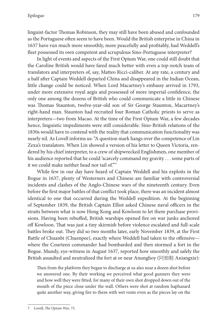linguist-factor Thomas Robinson, they may still have been abused and confounded as the Portuguese often seem to have been. Would the British enterprise in China in 1637 have run much more smoothly, more peacefully and profitably, had Weddell's fleet possessed its own competent and scrupulous Sino-Portuguese interpreter?

In light of events and aspects of the First Opium War, one could still doubt that the Caroline British would have fared much better with even a top-notch team of translators and interpreters of, say, Matteo Ricci-caliber. At any rate, a century and a half after Captain Weddell departed China and disappeared in the Indian Ocean, little change could be noticed. When Lord Macartney's embassy arrived in 1793, under more extensive royal aegis and possessed of more imperial confidence, the only one among the dozens of British who could communicate a little in Chinese was Thomas Staunton, twelve-year-old son of Sir George Staunton, Macartney's right-hand man. Staunton had recruited four Roman Catholic priests to serve as interpreters—two from Macao. At the time of the First Opium War, a few decades hence, linguistic impediments were still considerable. Sino-British relations of the 1830s would have to contend with the reality that communication functionality was nearly nil. As Lovell informs us: "A question mark hangs over the competence of Lin Zexu's translators. When Lin showed a version of his letter to Queen Victoria, rendered by his chief interpreter, to a crew of shipwrecked Englishmen, one member of his audience reported that he could 'scarcely command my gravity . . . some parts of it we could make neither head nor tail of.'"7

While few in our day have heard of Captain Weddell and his exploits in the Bogue in 1637, plenty of Westerners and Chinese are familiar with controversial incidents and clashes of the Anglo-Chinese wars of the nineteenth century. Even before the first major battles of that conflict took place, there was an incident almost identical to one that occurred during the Weddell expedition. At the beginning of September 1839, the British Captain Elliot asked Chinese naval officers in the straits between what is now Hong Kong and Kowloon to let them purchase provisions. Having been rebuffed, British warships opened fire on war junks anchored off Kowloon. That was just a tiny skirmish before violence escalated and full-scale battles broke out. They did so two months later, early November 1839, at the First Battle of Chuanbi (Chuenpee), exactly where Weddell had taken to the offensive where the Courteen commander had bombarded and then stormed a fort in the Bogue. Mundy, eye-witness in August 1637, reported how smoothly and safely the British assaulted and neutralized the fort at or near Anunghoy (阿娘鞋 Aniangxie):

Then from the platform they began to discharge at us also near a dozen shot before we answered one. By their working we perceived what good gunners they were and how well they were fitted, for many of their own shot dropped down out of the mouth of the piece close under the wall. Others were shot at random haphazard quite another way, giving fire to them with wet vents even as the pieces lay on the

<sup>7.</sup> Lovell, *The Opium War*, 75.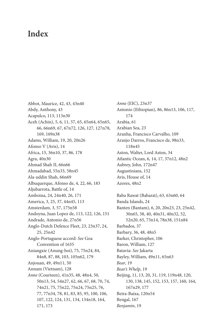#### **Index**

Abbot, Maurice, 42, 43, 43n40 Abdy, Anthony, 43 Acapulco, 113, 113n30 Aceh (Achin), 5, 6, 11, 57, 65, 65n64, 65n65, 66, 66n69, 67, 67n72, 126, 127, 127n78, 169, 169n38 Adams, William, 19, 20, 20n26 Afonso V (Avis), 14 Africa, 15, 36n10, 37, 86, 178 Agra, 40n30 Ahmad Shah II, 66n66 Ahmadabad, 55n33, 58n45 Ala-uddin Shah, 66n69 Albuquerque, Afonso de, 4, 22, 66, 183 Aljubarrota, Battle of, 14 Amboina, 24, 24n40, 26, 171 America, 3, 25, 37, 44n45, 113 Amsterdam, 3, 57, 175n58 Andoyna, Juan Lopez de, 113, 122, 126, 151 Andrade, Antonio de, 27n56 Anglo-Dutch Defence Fleet, 23, 23n37, 24, 25, 25n42 Anglo-Portuguese accord: *See* Goa Convention of 1635 Aniangxie (Anung-hoi), 75, 75n24, 84, 84n8, 87, 88, 103, 105n62, 179 Anjouan, 49, 49n11, 50 Annam (Vietnam), 128 *Anne* (Courteen), 41n35, 48, 48n4, 50, 50n13, 54, 54n27, 62, 66, 67, 68, 70, 74, 74n21, 75, 75n22, 75n24, 75n25, 76, 77, 77n34, 78, 81, 83, 85, 95, 100, 106, 107, 122, 124, 131, 134, 134n18, 164, 171, 173

*Anne* (EIC), 23n37 Antonio (Ethiopian), 86, 86n13, 106, 117, 174 Arabia, 61 Arabian Sea, 23 Aranha, Francisco Carvalho, 109 Aranjo Darros, Francisco de, 98n33, 118n45 Aston, Walter, Lord Aston, 34 Atlantic Ocean, 6, 14, 17, 37n12, 48n2 Aubrey, John, 172n47 Augustinians, 152 Avis, House of, 14 Azores, 48n2 Baba Rawat (Babarat), 63, 63n60, 64 Banda Islands, 24 Banten (Bantam), 6, 20, 20n23, 23, 25n42, 30n65, 38, 40, 40n31, 40n32, 52, 52n20, 65, 73n14, 78n38, 151n84 Barbados, 37 Barbary, 36, 48, 48n5 Barker, Christopher, 106 Baron, William, 127 Batavia: *See* Jakarta Bayley, William, 49n11, 65n63 *Bear*, 19 *Bear's Whelp*, 19 Beijing, 11, 13, 20, 31, 119, 119n48, 120, 130, 138, 145, 152, 153, 157, 160, 164, 167n29, 177 Beira-Baixa, 120n54 Bengal, 167 *Benjamin*, 19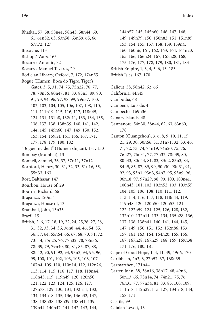- Bhatkal, 57, 58, 58n41, 58n43, 58n44, 60, 61, 61n52, 63, 63n58, 63n59, 65, 66, 67n72, 127
- Biscayne, 113
- Bishops' Wars, 165
- Bocarro, Antonio, 32
- Bocarro, Manuel Tavares, 29
- Bodleian Library, Oxford, 7, 172, 174n55
- Bogue (Humen, Boca do Tigre, Tiger's Gate), 3, 5, 31, 74, 75, 75n22, 76, 77, 78, 78n36, 80n47, 81, 83, 83n3, 89, 90, 91, 93, 94, 96, 97, 98, 99, 99n37, 100, 102, 103, 104, 105, 106, 107, 108, 110, 111, 111n19, 115, 116, 117, 118n45, 124, 131, 131n8, 132n11, 133, 134, 135, 136, 137, 138, 138n39, 140, 141, 142, 144, 145, 145n60, 147, 149, 150, 152, 153, 154, 159n4, 161, 166, 167, 171, 177, 178, 179, 180, 182
- "Bogue Incident" (Humen shijian), 131, 150
- Bombay (Mumbai), 13
- Bonnell, Samuel, 36, 37, 37n11, 37n12
- Bornford, Henry, 30, 31, 32, 33, 51n16, 55, 55n33, 163
- Bort, Balthasar, 147
- Bourbon, House of, 29
- Bourne, Richard, 66
- Braganza, 120n54
- Braganza, House of, 13
- Bramhall, John, 13n35
- Brazil, 15
- British, 2, 6, 17, 18, 19, 22, 24, 25,26, 27, 28, 31, 32, 33, 34, 36, 36n8, 44, 46, 54, 55, 56, 57, 64, 65n64, 66, 67, 68, 70, 71, 72, 73n14, 75n25, 76, 77n32, 78, 78n36, 78n39, 79, 79n40, 80, 81, 85, 87, 88, 88n12, 90, 91, 92, 93, 93n3, 94, 95, 96, 99, 100, 101, 102, 103, 105, 106, 107, 107n4, 109, 110, 110n14, 112, 112n26, 113, 114, 115, 116, 117, 118, 118n44, 118n45, 119, 119n49, 120, 120n50, 121, 122, 123, 124, 125, 126, 127, 127n78, 129, 130, 131, 132n11, 133, 134, 134n18, 135, 136, 136n32, 137, 138, 138n38, 138n39, 138n41, 139, 139n44, 140n47, 141, 142, 143, 144,
- 144n57, 145, 145n60, 146, 147, 148, 149, 149n79, 150, 150n82, 151, 151n85, 153, 154, 155, 157, 158, 159, 159n4, 160, 160n6, 161, 162, 163, 164, 164n20, 165, 166, 166n24, 167, 167n28, 168, 175, 176, 177, 178, 179, 180, 181, 183 British Empire, 1, 3, 4, 5, 6, 13, 183
- British Isles, 167, 170
- Calicut, 58, 58n42, 62, 66
- California, 44n45
- Cambodia, 68
- Camoens, Luis de, 4
- Campeche, 169n36
- Canary Islands, 48
- Cannanore, 54n30, 58n44, 62, 63, 63n60, 178
- Canton (Guangzhou), 3, 6, 8, 9, 10, 11, 15, 21, 29, 30, 30n66, 31, 31n71, 32, 33, 46, 71, 72, 73, 74, 74n19, 74n20, 75, 76, 76n27, 76n31, 77, 77n32, 78n39, 80, 80n43, 80n44, 81, 83, 83n2, 83n3, 84, 84n9, 85, 87, 89, 90, 90n30, 90n31, 91, 92, 93, 93n1, 93n3, 94n7, 95, 95n9, 96, 96n18, 97, 97n29, 98, 99, 100, 100n41, 100n43, 101, 102, 102n52, 103, 103n55, 104, 105, 106, 108, 110, 111, 112, 113, 114, 116, 117, 118, 118n44, 119, 119n48, 120, 120n50, 120n53, 121, 122, 122n59, 124, 125, 126, 128, 132, 132n10, 132n11, 133, 134, 135n28, 136, 137, 138, 138n41, 140, 141, 144, 145, 147, 149, 150, 151, 152, 152n86, 153, 157, 161, 163, 164, 164n20, 165, 166, 167, 167n28, 167n29, 168, 169, 169n38, 171, 176, 180, 181
- Cape of Good Hope, 1, 4, 11, 49, 49n6, 170
- Caribbean, 2n3, 6, 27n57, 37, 168n35
- Carmarthen, 171n44
- Carter, John, 38, 38n16, 38n17, 48, 49n6, 50n13, 66, 73n14, 74, 74n21, 75, 76, 76n31, 77, 77n34, 81, 83, 85, 100, 109, 111n18, 112n22, 115, 127, 134n18, 144, 158, 171
- Castile, 99
- Catalan Revolt, 13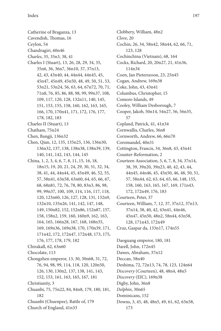Catherine of Braganza, 13 Cavendish, Thomas, 16 Ceylon, 54 Chandragiri, 60n46 *Charles*, 35, 35n3, 38, 41 Charles I (Stuart), 13, 26, 28, 29, 34, 35, 35n6, 36, 36n7, 36n10, 37, 37n13, 42, 43, 43n40, 44, 44n44, 44n45, 45, 45n47, 45n49, 45n50, 48, 49, 50, 51, 53, 53n21, 53n24, 56, 63, 64, 67n72, 70, 71, 71n8, 76, 85, 86, 88, 98, 99, 99n37, 108, 109, 117, 120, 128, 132n11, 140, 145, 151, 153, 155, 158, 160, 162, 163, 165, 166, 170, 170n41, 171, 172, 176, 177, 178, 182, 183 Charles II (Stuart), 13 Chatham, 75n24 Chen, Bangji, 136n32 Chen, Qian, 12, 135, 135n25, 136, 136n30, 136n32, 137, 138, 138n38, 138n39, 139, 140, 141, 142, 143, 144, 145 China, 1, 2, 3, 4, 6, 7, 8, 11, 15, 16, 18, 18n15, 19, 20, 21, 24, 29, 30, 31, 32, 34, 38, 41, 44, 44n44, 45, 45n49, 46, 52, 55, 57, 58n41, 63n58, 63n60, 64, 65, 66, 67, 68, 68n81, 72, 76, 78, 80, 83n3, 86, 98, 99, 99n37, 100, 109, 114, 116, 117, 118, 120, 123n60, 126, 127, 128, 131, 132n9, 132n10, 135n26, 141, 142, 147, 148, 149, 150n82, 152, 152n86, 152n87, 157, 158, 158n2, 159, 160, 160n9, 162, 163, 164, 165, 166n28, 167, 168, 168n35, 169, 169n36, 169n38, 170, 170n39, 171, 171n42, 172, 172n47, 172n48, 173, 175, 176, 177, 178, 179, 182 Chirakall, 62, 63n60 Chocolate, 113 Chongzhen emperor, 13, 30, 30n68, 31, 72, 76, 94, 98, 99, 114, 118, 120, 120n50, 126, 130, 130n2, 137, 138, 141, 143, 152, 153, 161, 163, 165, 167, 181 Christianity, 3 Chuanbi, 75, 75n22, 84, 84n8, 179, 180, 181, 182 Chuanbi (Chuenpee), Battle of, 179 Church of England, 41n33

Clobbery, William, 48n2 *Clove*, 20 Cochin, 26, 34, 58n42, 58n44, 62, 66, 71, 123, 128 Cochinchina (Vietnam), 68, 164 Cocks, Richard, 20, 20n27, 21, 41n36, 114n34 Coen, Jan Pieterszoon, 23, 25n45 Cogan, Andrew, 169n38 Coke, John, 43, 43n41 Columbus, Christopher, 15 Comoro Islands, 49 Cooley, William Desborough, 7 Cooper, Jakob, 50n14, 54n27, 56, 56n35, 57 Copland, Patrick, 41, 41n34 Cornwallis, Charles, 36n8 Cornworth, Andrew, 66, 66n70 Coromandel, 40n31 Cottington, Francis, 34, 36n8, 43, 43n41 Counter-Reformation, 2 Courteen Association, 5, 6, 7, 8, 34, 37n14, 38, 39, 39n20, 39n23, 40, 42, 43, 44, 44n45, 44n46, 45, 45n50, 46, 48, 50, 51, 57, 58n44, 62, 63, 64, 65, 66, 148, 155, 158, 160, 163, 165, 167, 169, 171n43, 172, 172n49, 176, 183 Courteen, Peter, 37 Courteen, William, 7, 12, 37, 37n12, 37n13, 37n14, 38, 40, 42, 43n41, 44n46, 45n47, 45n50, 48n2, 58n44, 63n58, 128, 171n43, 172n49 Cruz, Gaspar da, 133n17, 174n55 Daoguang emperor, 180, 181 Darell, John, 172n45 Dawes, Abraham, 37n12 Deccan, 58n40 Deshima, 72, 72n13, 74, 78, 123, 124n64 *Discovery* (Courteen), 48, 48n4, 48n5 *Discovery* (EIC), 169n38 Digby, John, 36n8 *Dolphin*, 30n65 Dominicans, 152 Downs, 3, 45, 48, 48n5, 49, 61, 62, 63n58, 173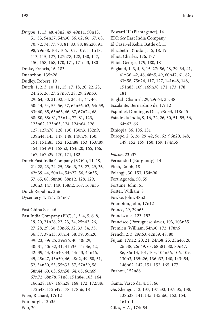- *Dragon*, 1, 13, 48, 48n2, 49, 49n11, 50n13, 51, 53, 54n27, 54n30, 56, 62, 66, 67, 68, 70, 72, 74, 77, 78, 81, 83, 88, 88n20, 91, 98, 99n38, 101, 106, 107, 109, 111n18,
	- 113, 115, 127, 127n78, 128, 130, 147,
	- 150, 158, 168, 170, 171, 171n43, 180
- Drake, Francis, 16, 183
- Duanzhou, 135n28
- Dudley, Robert, 19
- Dutch, 1, 2, 3, 10, 11, 15, 17, 18, 20, 22, 23, 24, 25, 26, 27, 27n57, 28, 29, 29n63, 29n64, 30, 31, 32, 34, 36, 41, 44, 46, 50n14, 54, 55, 56, 57, 62n56, 63, 63n59, 63n60, 65, 65n65, 66, 67, 67n74, 68, 68n80, 68n81, 73n14, 77, 81, 123, 123n62, 123n63, 124, 124n64, 126, 127, 127n78, 128, 130, 130n3, 132n9, 139n44, 145, 147, 148, 149n79, 150, 151, 151n85, 152, 152n88, 153, 153n89, 154, 154n91, 158n2, 164n20, 165, 166, 167, 167n29, 170, 171, 182
- Dutch East India Company (VOC), 11, 19, 21n28, 23, 24, 25, 25n43, 26, 27, 29, 36, 42n39, 44, 50n14, 54n27, 56, 56n35, 57, 65, 68, 68n80, 88n12, 128, 129, 130n3, 147, 149, 158n2, 167, 168n35 Dutch Republic, 3n6
- Dysentery, 4, 124, 124n67

East China Sea, 46

East India Company (EIC), 1, 3, 4, 5, 6, 8, 19, 20, 21n28, 22, 23, 24, 25n43, 26, 27, 28, 29, 30, 30n66, 32, 33, 34, 35, 36, 37, 37n13, 37n14, 38, 39, 39n20, 39n23, 39n25, 39n26, 40, 40n29, 40n31, 40n32, 41, 41n35, 41n36, 42, 42n39, 43, 43n40, 44, 44n43, 44n46, 45, 45n47, 45n50, 46, 48n2, 49, 50, 51, 52, 54n30, 55, 55n33, 57, 57n39, 58, 58n44, 60, 63, 63n58, 64, 65, 66n69, 67n72, 68n78, 71n8, 151n84, 163, 164, 166n28, 167, 167n28, 168, 172, 172n46, 172n48, 172n49, 178, 178n6, 181 Eden, Richard, 17n12 Edinburgh, 13n35 Edo, 20

- Elizabeth I (Tudor), 15, 18, 19 Elliot, Charles, 176, 177 Elliot, George, 179, 180, 181 England, 1, 3, 4, 6, 15, 27n56, 28, 29, 34, 41, 41n36, 42, 48, 48n5, 49, 60n47, 61, 62, 63n58, 75n24, 117, 127, 141n48, 148, 151n85, 169, 169n38, 171, 173, 178, 181
- English Channel, 29, 29n64, 35, 48
- Escalante, Bernardino de, 17n12

Edward III (Plantagenet), 14 EIC: *See* East India Company El Caser-el Kebir, Battle of, 15

- Espinhel, Domingos Dias, 98n33, 118n45
- Estado da India, 9, 16, 22, 26, 30, 51, 55, 56, 64n62, 66
- Ethiopia, 86, 106, 131
- Europe, 2, 3, 26, 29, 42, 56, 62, 96n20, 148, 149, 152, 159, 160, 169, 174n55
- *Falcon*, 23n37 Fernando I (Burgundy), 14
- Fitch, Ralph, 18
- Folangji, 30, 153, 154n90
- Fort Agoada, 50, 55
- Fortune, John, 61
- Foster, William, 8
- Fowke, John, 48n2
- Frampton, John, 17n12
- France, 29, 29n63
- Franciscans, 123, 152
- Francisco (Portuguese slave), 103, 103n55
- Fremlen, William, 54n30, 172, 178n6
- French, 2, 3, 29n63, 42n39, 48, 80
- Fujian, 17n12, 20, 21, 24n38, 25, 25n46, 26, 26n48, 26n49, 68, 68n81, 80, 80n47, 86, 86n13, 101, 103, 104n56, 106, 109, 130n3, 135n26, 136n32, 140, 143n54, 146n62, 147, 151, 152, 165, 177
- Fuzhou, 152n88
- Gama, Vasco da, 4, 58, 66
- Ge, Zhengqi, 12, 137, 137n33, 137n35, 138, 138n38, 141, 145, 145n60, 153, 154, 161n11 Giles, H.A., 174n54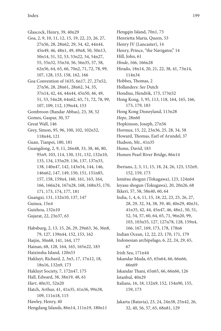Glascock, Henry, 39, 40n29 Goa, 2, 9, 10, 11, 12, 15, 19, 22, 23, 26, 27, 27n56, 28, 28n62, 29, 34, 42, 44n44, 45n49, 46, 48n1, 49, 49n8, 50, 50n13, 50n14, 51, 52, 53, 53n22, 54, 54n27, 55, 55n32, 55n34, 56, 56n35, 57, 58, 62n56, 64, 65, 66, 70n2, 71, 72, 78, 99, 107, 128, 153, 158, 162, 166 Goa Convention of 1635, 6n17, 27, 27n52, 27n56, 28, 28n61, 28n62, 34, 35, 37n14, 42, 44, 44n44, 45n50, 46, 49, 51, 53, 54n28, 64n62, 65, 71, 72, 78, 99, 107, 109, 112, 139n44, 153 Gombroon (Bandar Abbas), 23, 38, 52 Gomes, Gaspar, 30, 57 Great Wall, 146 Grey, Simon, 95, 96, 100, 102, 102n52, 118n44, 121 Guan, Tianpei, 180, 181 Guangdong, 2, 9, 11, 26n48, 33, 38, 46, 80, 95n9, 103, 114, 130, 131, 132, 132n10, 133, 134, 135n29, 136, 137, 137n33, 138, 140n47, 142, 143n54, 144, 146, 146n62, 147, 149, 150, 151, 151n85, 157, 158, 159n4, 160, 161, 163, 164, 166, 166n24, 167n28, 168, 168n35, 170, 171, 173, 174, 177, 181 Guangxi, 131, 132n10, 137, 147 Guinea, 15n4 Guizhou, 132n10 Gujarat, 22, 23n37, 63 Habsburg, 2, 13, 15, 26, 29, 29n63, 36, 36n8, 79, 127, 139n44, 152, 153, 162 Haijin, 30n68, 141, 164, 177 Hainan, 68, 128, 164, 165, 165n22, 183 Haixinsha Island, 120n53 Hakluyt, Richard, 2, 3n5, 17, 17n12, 18, 18n16, 132n9, 173 Hakluyt Society, 7, 172n47, 175 Hall, Edward, 38, 38n19, 48, 61 *Hart*, 40n31, 52n20 Hatch, Arthur, 41, 41n35, 41n36, 99n38, 109, 111n18, 115 Hawley, Henry, 40 Hengdang Islands, 86n14, 111n19, 180n11

Hengqin Island, 70n1, 73 Henrietta Maria, Queen, 53 Henry IV (Lancaster), 14 Henry, Prince, "the Navigator," 14 Hill, John, 61 *Hinde*, 166, 166n28 Hirado, 18n14, 20, 21, 22, 38, 41, 73n14, 114n34 Hobbes, Thomas, 2 Hollanders: *See* Dutch Hondius, Hendrik, 173, 173n52 Hong Kong, 3, 95, 113, 118, 164, 165, 166, 173, 179, 183 Hong Kong Disneyland, 113n28 *Hope*, 28n60 Hopkinson, Joseph, 27n56 Hormuz, 15, 22, 23n36, 25, 28, 34, 58 Howard, Thomas, Earl of Arundel, 37 Hudson, Mr., 41n35 Hume, David, 183 Humen Pearl River Bridge, 86n14 Iberians, 2, 3, 11, 15, 18, 24, 26, 123, 132n9, 152, 159, 173 Iemitsu shogun (Tokugawa), 123, 124n64 Ieyasu shogun (Tokugawa), 20, 20n26, 68 Ikkeri, 57, 58, 58n40, 60, 64 India, 1, 4, 6, 11, 15, 18, 22, 23, 25, 26, 27, 28, 29, 32, 34, 38, 39, 40, 40n29, 40n31, 41n35, 42, 44, 45n47, 46, 48n1, 50, 51, 52, 54, 57, 60, 64, 65, 71, 96n20, 99, 103, 103n55, 127, 127n78, 128, 159n4, 166, 167, 169, 173, 178, 178n6 Indian Ocean, 12, 22, 23, 170, 171, 179 Indonesian archipelago, 6, 22, 24, 29, 65, 67 Irish Sea, 171n44 Iskandar Muda, 65, 65n64, 66, 66n66, 66n69 Iskandar Thani, 65n65, 66, 66n66, 126 Istanbul, 40n29 Italians, 16, 18, 132n9, 152, 154n90, 155, 159, 173 Jakarta (Batavia), 23, 24, 24n38, 25n42, 26,

32, 40, 56, 57, 65, 68n81, 129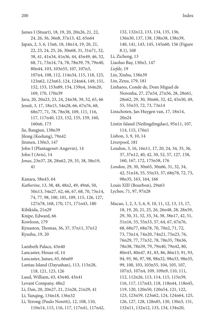- James I (Stuart), 18, 19, 20, 20n26, 21, 22, 24, 26, 36, 36n8, 37n13, 42, 65n64 Japan, 2, 3, 6, 15n6, 18, 18n14, 19, 20, 21, 22, 23, 24, 25, 26, 30n68, 31, 31n71, 32, 38, 41, 41n34, 41n36, 44, 45n49, 46, 52, 68, 71, 73n14, 74, 78, 78n39, 79, 79n40, 80n44, 103, 103n55, 107, 107n3, 107n4, 108, 112, 114n34, 115, 118, 123, 123n62, 123n63, 124, 124n64, 149, 151, 152, 153, 153n89, 154, 159n4, 164n20, 169, 170, 170n39 Java, 20, 20n23, 23, 24, 24n38, 39, 52, 65, 66 Jesuit, 3, 17, 18n15, 54n28, 66, 67n76, 68, 68n77, 71, 78, 78n38, 109, 111, 116, 117, 117n40, 123, 152, 155, 159, 160, 160n6, 173 Jie, Bangjun, 138n39 Jilong (Keelung), 79n42 Jinmen, 130n3, 147 John I (Plantagenet-Angevin), 14 John I (Avis), 14 *Jonas*, 23n37, 28, 28n62, 29, 35, 38, 38n19,
	- 41
- Kanara, 58n43, 64
- *Katherine*, 13, 38, 48, 48n2, 49, 49n6, 50, 50n13, 54n27, 62, 66, 67, 68, 70, 73n14, 74, 77, 98, 100, 101, 109, 115, 126, 127, 127n78, 168, 170, 171, 171n43, 180 Kibikida, 21n29 Knipe, Edward, 66 Kowloon, 179 Kynaston, Thomas, 36, 37, 37n11, 37n12
- Kyushu, 19, 20
- Lambeth Palace, 43n40 Lancaster, House of, 14 Lancaster, James, 65, 66n69 Lantau Island (Dayushan), 113, 113n28, 118, 121, 123, 126 Laud, William, 43, 43n40, 43n41 Levant Company, 48n2 Li, Dan, 20, 20n27, 21, 21n28, 21n29, 41 Li, Yanqing, 134n18, 136n32 Li, Yerong (Paulo Noretti), 12, 108, 110, 110n14, 115, 116, 117, 117n41, 117n42,
- 132, 132n12, 133, 134, 135, 136, 136n30, 137, 138, 138n38, 138n39, 140, 141, 143, 145, 145n60, 156 (Figure 8.1), 168 Li, Zicheng, 13 Liaoluo Bay, 130n3, 147 *Liefde*, 19 Lin, Xinhu, 138n39 Lin, Zexu, 179, 181 Linhares, Conde de, Dom Miguel de Noronha, 27, 27n54, 27n56, 28, 28n61, 28n62, 29, 30, 30n66, 32, 42, 45n50, 49, 55, 55n33, 72, 73, 73n14 Linschoten, Jan Huygen van, 17, 18n14, 20n24 Lintin Island (Neilingdingdao), 95n11, 107, 114, 115, 176n1 Lisbon, 3, 9, 10, 14 Liverpool, 181 London, 3, 16, 16n11, 17, 20, 24, 34, 35, 36, 37, 37n12, 40, 42, 50, 52, 57, 127, 158, 160, 167, 172, 175n58, 176 *London*, 29, 30, 30n65, 30n66, 31, 32, 34, 42, 51n16, 55, 55n33, 57, 68n78, 72, 73, 98n35, 163, 164, 166
	- Louis XIII (Bourbon), 29n63
	- Lychee, 71, 97, 97n28
	- Macao, 1, 2, 3, 5, 6, 9, 10, 11, 12, 13, 15, 17, 18, 19, 20, 21, 25, 26, 26n48, 28, 28n59, 29, 30, 31, 32, 33, 34, 38, 38n17, 42, 51, 51n16, 55, 55n33, 57, 64, 67, 67n76, 68, 68n77, 68n78, 70, 70n2, 71, 72, 73, 73n14, 74n20, 74n21, 75n23, 76, 76n29, 77, 77n32, 78, 78n35, 78n36, 78n38, 78n39, 79, 79n40, 79n42, 80, 80n43, 80n47, 81, 83, 86, 86n13, 91, 93, 94, 95, 96, 97, 98, 98n32, 98n33, 98n35, 99, 100, 103, 103n55, 104, 105, 107, 107n3, 107n4, 109, 109n9, 110, 111, 112, 112n26, 113, 114, 115, 115n39, 116, 117, 117n43, 118, 118n44, 118n45, 119, 120, 120n50, 120n54, 121, 122, 123, 123n59, 123n62, 124, 124n64, 125, 126, 127, 128, 128n85, 130, 130n3, 131, 132n11, 132n12, 133, 134, 134n20,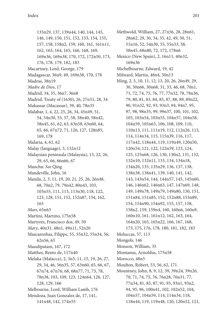135n29, 137, 139n44, 140, 144, 145, 146, 149, 150, 151, 152, 153, 154, 155, 157, 158, 158n2, 159, 160, 161, 161n11, 162, 163, 164, 165, 166, 168, 169, 169n36, 169n38, 170, 172, 172n50, 173, 176, 178, 179, 182, 183 Macartney, Lord, George, 179 Madagascar, 36n9, 49, 169n38, 170, 178 Madras, 38n19 *Madre de Dios*, 17 Madrid, 34, 35, 36n7, 36n8 Madrid, Treaty of (1630), 26, 27n51, 28, 34 Makassar (Macassar), 39, 40, 78n35 Malabar, 1, 4, 22, 25, 26, 34, 45n49, 51, 54, 54n30, 55, 57, 58, 58n40, 58n42, 58n45, 61, 62, 63, 63n58, 63n60, 64, 65, 66, 67n72, 71, 126, 127, 128n85, 169, 178 Malaria, 4, 61, 62 Malay (language), 3, 132n12 Malaysian peninsula (Malaysia), 15, 22, 26, 29, 65, 66, 66n66, 67 Manchu: *See* Qing Mandeville, John, 16 Manila, 2, 3, 11, 19, 20, 21, 25, 26, 26n48, 68, 70n2, 79, 79n42, 80n43, 103, 103n55, 111, 113, 113n30, 118, 122, 123, 128, 151, 152, 152n87, 154, 162, 165 *Mars*, 65n63 Martini, Martino, 175n58 Martyres, Francisco dos, 49, 50 *Mary*, 40n31, 48n1, 49n11, 52n20 Mascarenhas, Filippe, 55, 55n32, 55n34, 56, 62n56, 65 Masulipatam, 167, 172 Matthes, Bento de, 117n40 Melaka (Malacca), 2, 3n5, 11, 15, 19, 26, 27, 29, 34, 46, 56n35, 57, 63n60, 65, 66, 67, 67n74, 67n76, 68, 68n77, 71, 73, 78, 78n38, 103, 109, 123, 124n64, 126, 127, 128, 129, 166 Melbourne, Lord, William Lamb, 176 Mendoza, Juan Gonzalez de, 17, 141, 141n48, 142, 174n55

Methwold, William, 27, 27n56, 28, 28n61, 28n62, 29, 30, 34, 35, 42, 49, 50, 51, 51n16, 52, 54n30, 55, 55n33, 58, 58n45, 68n80, 72, 172, 178n6 Mexico (New Spain), 2, 16n11, 40n32,

- 169n36 Michelbourne, Edward, 19, 42
- Milward, Martin, 48n4, 50n13
- Ming, 2, 5, 10, 11, 12, 13, 20, 26, 26n49, 29, 30, 30n66, 30n68, 31, 33, 46, 68, 70n1, 71, 72, 74, 75, 76, 77, 77n32, 78, 78n36, 79, 80, 81, 83, 84, 85, 87, 88, 89, 89n22, 90, 91n32, 92, 93, 93n3, 94, 94n7, 95, 97, 98, 98n35, 99, 99n37, 100, 101, 102, 103, 103n54, 103n55, 104n57, 104n58, 104n59, 105n63, 106, 108, 109, 110, 110n13, 111, 111n19, 112, 112n26, 113, 114, 114n34, 115, 115n39, 116, 117, 117n42, 118n44, 119, 119n49, 120n50, 120n54, 121, 122, 122n59, 123, 124, 125, 125n68, 126, 130, 130n2, 131, 132, 132n10, 132n11, 133, 134, 134n18, 134n20, 135, 135n29, 136, 137, 138, 138n38, 138n41, 139, 140, 141, 142, 143, 143n54, 144, 144n57, 145, 145n60, 146, 146n62, 146n63, 147, 147n69, 148, 149, 149n78, 149n79, 149n80, 150, 151, 151n84, 151n85, 152, 152n88, 153n89, 154, 154n90, 154n92, 155, 157, 158, 158n2, 159, 159n4, 160, 160n6, 160n9, 160n10, 161, 161n12, 162, 163, 164, 164n20, 165, 165n22, 166, 167, 168, 173, 175, 176, 178, 180, 181, 182, 183 Moluccas, 57, 113 Mongols, 146 Monson, William, 35 Montanus, Arnoldus, 175n58 Morocco, 48n5 Moulton, Robert, 53, 56, 62, 171
- Mountney, John, 8, 9, 12, 39, 39n24, 39n26, 70, 71, 74, 75, 76, 76n28, 76n31, 77, 77n34, 81, 85, 87, 91, 93, 93n1, 93n2, 94, 95, 96, 100n41, 102, 102n52, 104, 104n57, 104n59, 114, 114n34, 118, 118n44, 119, 119n48, 120, 120n52, 121,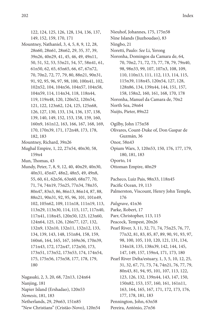122, 124, 125, 126, 128, 134, 136, 137, 149, 152, 159, 170, 171 Mountney, Nathaniel, 3, 4, 5, 8, 9, 12, 28, 28n60, 28n61, 28n62, 29, 35, 37, 39, 39n26, 40n29, 41, 45, 46, 49, 49n11, 50, 51, 52, 53, 53n21, 54, 57, 58n41, 61, 61n50, 62, 65, 65n65, 66, 67, 67n72, 70, 70n2, 72, 77, 79, 80, 88n21, 90n31, 91, 92, 95, 96, 97, 98, 100, 100n41, 102, 102n52, 104, 104n56, 104n57, 104n58,

- 104n59, 114, 114n34, 118, 118n44, 119, 119n48, 120, 120n52, 120n54, 121, 122, 123n62, 124, 125, 125n68, 126, 127, 130, 133, 134, 136, 137, 138, 139, 140, 149, 152, 153, 158, 159, 160, 160n9, 161n12, 163, 166, 167, 168, 169, 170, 170n39, 171, 172n48, 173, 178, 182, 183
- Mountney, Richard, 39n26
- Mughal Empire, 1, 22, 27n54, 40n30, 58, 159n4
- Mun, Thomas, 43
- Mundy, Peter, 7, 8, 9, 12, 40, 40n29, 40n30, 40n31, 45n47, 48n2, 48n5, 49, 49n8, 55, 60, 61, 62n56, 63n60, 68n77, 70, 71, 74, 74n19, 75n25, 77n34, 78n35, 80n47, 83n3, 86, 86n13, 86n14, 87, 88, 88n21, 90n31, 92, 95, 96, 101, 101n49, 102, 105n62, 109, 111n18, 111n19, 113, 113n29, 113n30, 114, 115, 117, 117n40, 117n41, 118n45, 120n50, 123, 123n60, 124n64, 125, 126, 126n77, 127, 132, 132n9, 132n10, 132n11, 132n12, 133, 134, 139, 143, 148, 151n84, 158, 159, 160n6, 164, 165, 167, 169n36, 170n39, 171n43, 172, 172n47, 172n50, 173, 173n51, 173n52, 173n53, 174, 174n54, 175, 175n56, 175n58, 177, 178, 179, 180

Nagasaki, 2, 3, 20, 68, 72n13, 124n64 Nanjing, 181 Napier Island (Ershadao), 120n53 *Nemesis*, 181, 183 Netherlands, 29, 29n63, 151n85 "New Christians" (Cristão-Novo), 120n54 Nine Islands (Jiuzhoudao), 83 Ningbo, 21 Noretti, Paulo: *See* Li, Yerong Noronha, Domingos da Camara de, 64, 70, 70n2, 71, 72, 73, 77, 78, 79, 79n40, 98, 98n33, 99, 107, 107n3, 108, 109, 110, 110n13, 111, 112, 113, 114, 115, 115n39, 118n45, 120n54, 127, 128, 128n86, 134, 139n44, 144, 151, 157, 158, 158n2, 160, 161, 168, 170, 178 Noronha, Manuel da Camara de, 70n2 North Sea, 29n64 Nuijts, Pieter, 89n22

Nieuhof, Johannes, 175, 175n58

Ogilby, John 175n58

Olivares, Count-Duke of, Don Gaspar de Guzmán, 36 Onor, 58n43

- 
- Opium Wars, 3, 120n53, 150, 176, 177, 179, 180, 181, 183

Oporto, 14

- Ottoman Empire, 40n29
- Pacheco, Luiz Pais, 98n33, 118n45
- Pacific Ocean, 19, 113
- Palmerston, Viscount, Henry John Temple, 176
- *Palsgrave*, 41n36
- Parke, Robert, 17
- Parr, Christopher, 113, 115
- Peacock, Tempest, 20n26
- Pearl River, 3, 11, 32, 71, 74, 75n25, 76, 77, 77n32, 81, 83, 85, 87, 89, 90, 91, 93, 97, 98, 100, 105, 110, 120, 121, 131, 134, 134n18, 135, 138n39, 142, 144, 145, 147, 149, 157, 159n4, 171, 173, 180
- Pearl River Delta/estuary, 1, 3, 5, 10, 12, 25, 31, 32, 67, 71, 73, 74, 74n21, 76, 77, 79, 80n43, 81, 94, 95, 101, 107, 113, 122, 123, 126, 132, 139n44, 143, 147, 150, 150n82, 153, 157, 160, 161, 161n11, 163, 164, 165, 167, 171, 172, 173, 176, 177, 178, 181, 183
- Pennington, John, 63n58

Pereira, António, 27n56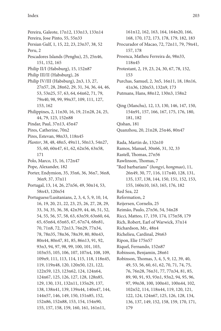Pereira, Galeote, 17n12, 133n13, 133n14 Pereira, Jose Pinto, 55, 55n33 Persian Gulf, 1, 15, 22, 23, 23n37, 38, 52 Peru, 2 Pescadores Islands (Penghu), 25, 25n46, 151, 152, 165 Philip II/I (Habsburg), 15, 152n87 Philip III/II (Habsburg), 26 Philip IV/III (Habsburg), 2n3, 13, 27, 27n57, 28, 28n62, 29, 31, 34, 36, 44, 46, 53, 53n25, 57, 63, 64, 64n62, 71, 79, 79n40, 98, 99, 99n37, 109, 111, 127, 153, 162 Philippines, 2, 11n30, 16, 19, 21n28, 24, 25, 44, 79, 123, 152n88 Pindar, Paul, 37n13, 45n47 Pires, Catherine, 70n2 Pires, Estevan, 98n33, 118n45 *Planter*, 38, 48, 48n5, 49n11, 50n13, 54n27, 55, 60, 60n47, 61, 62, 62n56, 63n58, 171 Polo, Marco, 15, 16, 172n47 Pope, Alexander, 182 Porter, Endymion, 35, 35n6, 36, 36n7, 36n8, 36n9, 37, 37n11 Portugal, 13, 14, 26, 27n56, 49, 50n14, 53, 58n43, 120n54 Portuguese/Lusitanians, 2, 3, 4, 5, 9, 10, 14, 16, 19, 20, 21, 22, 23, 25, 26, 27, 28, 29, 33, 34, 35, 36, 38, 42n39, 44, 46, 51, 52, 54, 55, 56, 57, 58, 63, 63n59, 63n60, 64, 65, 65n64, 65n65, 67, 67n74, 68n81, 70, 71n8, 72, 72n13, 76n29, 77n34, 78, 78n35, 78n36, 78n39, 80, 80n43, 80n44, 80n47, 81, 85, 86n13, 91, 92, 93n3, 94, 97, 98, 99, 100, 101, 103, 103n55, 105, 106, 107, 107n4, 108, 109, 109n9, 111, 113, 114, 115, 118, 118n45, 119, 119n48, 120, 120n50, 121, 122, 122n59, 123, 123n62, 124, 124n64, 124n67, 125, 126, 127, 128, 128n85, 129, 130, 131, 132n11, 135n29, 137, 138, 138n41, 139, 139n44, 140n47, 144, 144n57, 146, 149, 150, 151n85, 152, 152n86, 152n88, 153, 154, 154n90, 155, 157, 158, 159, 160, 161, 161n11,

161n12, 162, 163, 164, 164n20, 166, 168, 170, 172, 173, 178, 179, 182, 183 Procurador of Macao, 72, 72n11, 79, 79n41, 157, 178 Proenca, Matheu Ferreira de, 98n33, 118n45 Protestant, 2, 19, 23, 24, 30, 67, 78, 152, 153 Purchas, Samuel, 2, 3n5, 16n11, 18, 18n16, 41n36, 120n53, 132n9, 173 Putmans, Hans, 88n12, 130n3, 158n2 Qing (Manchu), 12, 13, 130, 146, 147, 150, 154n91, 157, 166, 167, 175, 176, 180, 181, 182 Qishan, 181 Quanzhou, 20, 21n28, 25n46, 80n47 Rada, Martin de, 132n10 Ramos, Manuel, 30n66, 31, 32, 33 Rastell, Thomas, 27n56 Rawlinson, Thomas, 7 "Red barbarians" (*hongyi*, *hongmao*), 11, 26n49, 30, 77, 116, 117n40, 128, 131, 135, 137, 138, 144, 150, 151, 152, 153, 155, 160n10, 163, 165, 176, 182 Red Sea, 22 Reformation, 2 Reijersen, Cornelis, 25 Reimão, Paulo, 27n56, 54, 54n28 Ricci, Matteo, 17, 159, 174, 175n58, 179 Rich, Robert, Earl of Warwick, 37n14 Richardson, Mr., 48n4 Richelieu, Cardinal, 29n63 Ripon, Elie 175n57 Riquel, Fernando, 152n87 Robinson, Benjamin, 28n61 Robinson, Thomas, 3, 4, 5, 9, 12, 39, 40, 49, 53, 56, 60, 61, 62, 70, 71, 74, 75, 76, 76n28, 76n31, 77, 77n34, 81, 85, 89, 90, 91, 93, 93n1, 93n2, 94, 95, 96, 97, 99n38, 100, 100n41, 100n44, 102, 102n52, 114, 118n44, 119, 120, 121, 122, 124, 124n67, 125, 126, 128, 134, 136, 137, 149, 152, 158, 159, 170, 171, 179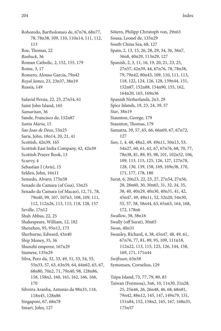Roboredo, Bartholomeo de, 67n76, 68n77, 78, 78n38, 109, 110, 110n14, 111, 112, 113 Roe, Thomas, 22 *Roebuck*, 36 Roman Catholic, 2, 152, 155, 179 Rome, 3, 17 Romero, Alonso Garcia, 79n42 *Royal James*, 23, 23n37, 38n19 Russia, 149 Safavid Persia, 22, 25, 27n54, 61 Saint John Island, 165 *Samaritan*, 36 Sande, Francisco de, 152n87 *Santa Maria*, 15 *Sao Joao de Deus*, 53n25 Saris, John, 18n14, 20, 21, 41 Scottish, 42n39, 165 Scottish East India Company, 42, 42n39 Scottish Prayer Book, 13 Scurvy, 4 Sebastian I (Avis), 15 Selden, John, 16n11 Semedo, Alvaro, 175n58 Senado da Camara (of Goa), 53n25 Senado da Camara (of Macao), 12, 71, 78, 79n40, 99, 107, 107n3, 108, 109, 111, 112, 112n26, 113, 115, 118, 128, 157 Seville, 17n12 Shah Abbas, 22, 25 Shakespeare, William, 12, 182 Shenzhen, 95, 95n12, 173 Sherburne, Edward, 43n40 Ship Money, 35, 36 Shunzhi emperor, 167n29 Siamese, 135n29 Silva, Pero da, 32, 33, 49, 51, 53, 54, 55, 55n33, 57, 63, 63n59, 64, 64n62, 65, 67, 68n80, 70n2, 71, 79n40, 98, 128n86, 158, 158n2, 160, 161, 162, 166, 168, 170 Silveira Aranha, Antonio da 98n33, 118, 118n45, 128n86 Singapore, 67, 68n78 Smart, John, 127

Sötern, Philipp Christoph von, 29n63 Sousa, Leonel de, 135n29 South China Sea, 68, 127 Spain, 2, 13, 15, 26, 28, 29, 34, 36, 36n7, 36n8, 40n29, 113n29, 127 Spanish, 2, 3, 11, 16, 19, 20, 21, 23, 25, 27n57, 42n39, 44, 67n76, 78, 78n38, 79, 79n42, 80n43, 109, 110, 111, 113, 118, 122, 124, 126, 128, 139n44, 151, 152n87, 152n88, 154n90, 155, 162, 164n20, 165, 169n36 Spanish Netherlands, 2n3, 29 Spice Islands, 19, 23, 24, 39, 57 *Star*, 38n19 Staunton, George, 179 Staunton, Thomas, 179 Sumatra, 39, 57, 65, 66, 66n69, 67, 67n72, 127 *Sun*, 1, 4, 48, 48n2, 49, 49n11, 50n13, 53, 54n27, 60, 61, 62, 67, 67n76, 68, 70, 77, 78n38, 81, 89, 95, 98, 101, 102n52, 106, 109, 113, 115, 125, 126, 127, 127n78, 128, 130, 139, 158, 169, 169n38, 170, 171, 177, 178, 180 Surat, 6, 20n23, 22, 23, 27, 27n54, 27n56, 28, 28n60, 30, 30n65, 31, 32, 34, 35, 38, 40, 40n29, 40n30, 40n31, 41, 42, 45n47, 49, 49n11, 52, 52n20, 54n30, 55, 57, 58, 58n44, 63, 65n63, 164, 168, 172, 178n6 *Swallow*, 38, 38n16 Swally (off Surat), 30n65 *Swan*, 40n31 Swanley, Richard, 4, 38, 45n47, 48, 49, 61, 67n76, 77, 81, 89, 95, 109, 111n18, 112n22, 113, 115, 125, 126, 144, 158, 169, 171, 171n44 *Swiftsure*, 63n58 Symonsen, Cornelius, 129 Taipa Island, 73, 77, 79, 80, 83 Taiwan (Formosa), 3n6, 10, 11n30, 21n28, 25, 25n46, 26, 26n48, 46, 68, 68n81, 79n42, 88n12, 145, 147, 149n79, 151,

151n84, 152, 158n2, 165, 167, 168n35,

175n57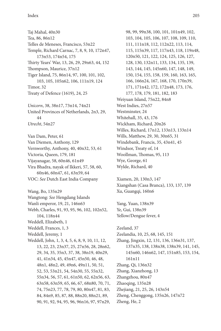Taj Mahal, 40n30 Tea, 86, 86n12 Telles de Meneses, Francisco, 53n22 Temple, Richard Carnac, 7, 8, 9, 10, 172n47, 173n53, 174n54, 175 Thirty Years' War, 13, 26, 29, 29n63, 44, 152 Thompson, Maurice, 37n12 Tiger Island, 75, 86n14, 97, 100, 101, 102, 103, 105, 105n62, 106, 111n19, 124 Timor, 32 Treaty of Defence (1619), 24, 25

*Unicorn*, 38, 38n17, 73n14, 74n21 United Provinces of Netherlands, 2n3, 29, 44 *Utrecht*, 54n27

Van Dam, Peter, 61 Van Diemen, Anthony, 129 Vernworthy, Anthony, 40, 40n32, 53, 61 Victoria, Queen, 179, 181 Vijayanagar, 58, 60n46, 61n49 Vira Bhadra, nayak of Ikkeri, 57, 58, 60, 60n46, 60n47, 61, 63n59, 64 VOC: *See* Dutch East India Company

Wang, Bo, 135n29 Wangtong: *See* Hengdang Islands Wanli emperor, 19, 21, 146n63 Webb, Charles, 91, 93, 95, 96, 102, 102n52, 104, 118n44 Weddell, Elizabeth, 1 Weddell, Frances, 1, 3 Weddell, Jeremy, 1 Weddell, John, 1, 3, 4, 5, 6, 8, 9, 10, 11, 12, 13, 22, 23, 23n37, 25, 27n56, 28, 28n62, 29, 34, 35, 35n3, 37, 38, 38n19, 40n29, 41, 41n34, 45, 45n47, 45n50, 46, 48, 48n1, 48n2, 49, 49n6, 49n11, 50, 51, 52, 53, 53n21, 54, 54n30, 55, 55n32, 55n34, 56, 57, 61, 61n50, 62, 62n56, 63, 63n58, 63n59, 65, 66, 67, 68n80, 70, 71, 74, 75n23, 77, 78, 79, 80, 80n47, 81, 83, 84, 84n9, 85, 87, 88, 88n20, 88n21, 89, 90, 91, 92, 94, 95, 96, 96n16, 97, 97n29,

98, 99, 99n38, 100, 101, 101n49, 102, 103, 104, 105, 106, 107, 108, 109, 110, 111, 111n18, 112, 112n22, 113, 114, 115, 115n39, 117, 117n43, 118, 119n48, 120n50, 121, 122, 124, 125, 126, 127, 128, 130, 132n11, 133, 134, 135, 139, 143, 144, 145, 145n60, 147, 148, 149, 150, 154, 155, 158, 159, 160, 163, 165, 166, 166n24, 167, 168, 170, 170n39, 171, 171n42, 172, 172n48, 173, 176, 177, 178, 179, 181, 182, 183 Weiyuan Island, 75n22, 84n8 West Indies, 27n57 Westminster, 24 Whitehall, 35, 43, 176 Wickham, Richard, 20n26 Willes, Richard, 17n12, 133n13, 133n14 Wills, Matthew, 29, 30, 30n65, 31 Windebank, Francis, 35, 43n41, 45 Windsor, Treaty of, 14 Woollman, Thomas, 95, 113 Wye, George, 61 Wylde, Richard, 40

Xiamen, 20, 130n3, 147 Xiangshan (Casa Branca), 133, 137, 139 Xu, Guangqi, 160n6

Yang, Yuan, 138n39 Ye, Gui, 138n39 Yellow/Dengue fever, 4

Zeeland, 37 Zeelandia, 10, 25, 68, 145, 151 Zhang, Jingxin, 12, 131, 136, 136n31, 137, 137n35, 138, 138n38, 138n39, 141, 145, 145n60, 146n62, 147, 151n85, 153, 154, 161n11 Zhang, Qi, 136n32 Zhang, Xianzhong, 13 Zhangzhou, 80n47 Zhaoqing, 135n28 Zhejiang, 21, 25, 26, 143n54 Zheng, Chenggong, 135n26, 147n72 Zheng, He, 2